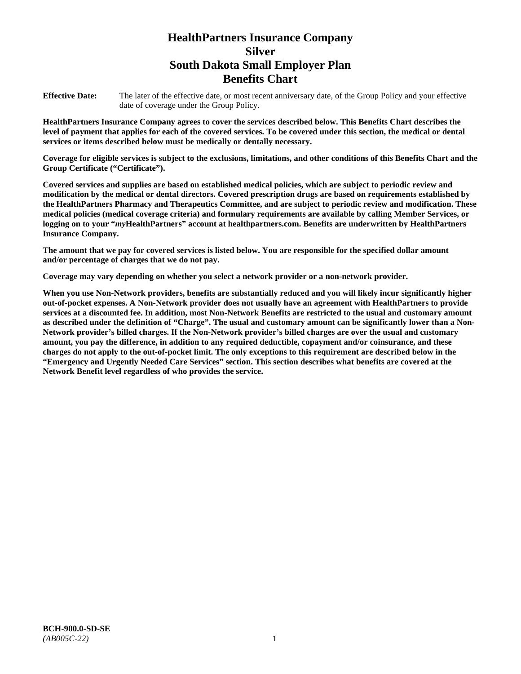# **HealthPartners Insurance Company Silver South Dakota Small Employer Plan Benefits Chart**

**Effective Date:** The later of the effective date, or most recent anniversary date, of the Group Policy and your effective date of coverage under the Group Policy.

**HealthPartners Insurance Company agrees to cover the services described below. This Benefits Chart describes the level of payment that applies for each of the covered services. To be covered under this section, the medical or dental services or items described below must be medically or dentally necessary.**

**Coverage for eligible services is subject to the exclusions, limitations, and other conditions of this Benefits Chart and the Group Certificate ("Certificate").**

**Covered services and supplies are based on established medical policies, which are subject to periodic review and modification by the medical or dental directors. Covered prescription drugs are based on requirements established by the HealthPartners Pharmacy and Therapeutics Committee, and are subject to periodic review and modification. These medical policies (medical coverage criteria) and formulary requirements are available by calling Member Services, or logging on to your "***my***HealthPartners" account at [healthpartners.com.](file://isntmacsrv0/www.healthpartners.com) Benefits are underwritten by HealthPartners Insurance Company.**

**The amount that we pay for covered services is listed below. You are responsible for the specified dollar amount and/or percentage of charges that we do not pay.**

**Coverage may vary depending on whether you select a network provider or a non-network provider.**

**When you use Non-Network providers, benefits are substantially reduced and you will likely incur significantly higher out-of-pocket expenses. A Non-Network provider does not usually have an agreement with HealthPartners to provide services at a discounted fee. In addition, most Non-Network Benefits are restricted to the usual and customary amount as described under the definition of "Charge". The usual and customary amount can be significantly lower than a Non-Network provider's billed charges. If the Non-Network provider's billed charges are over the usual and customary amount, you pay the difference, in addition to any required deductible, copayment and/or coinsurance, and these charges do not apply to the out-of-pocket limit. The only exceptions to this requirement are described below in the "Emergency and Urgently Needed Care Services" section. This section describes what benefits are covered at the Network Benefit level regardless of who provides the service.**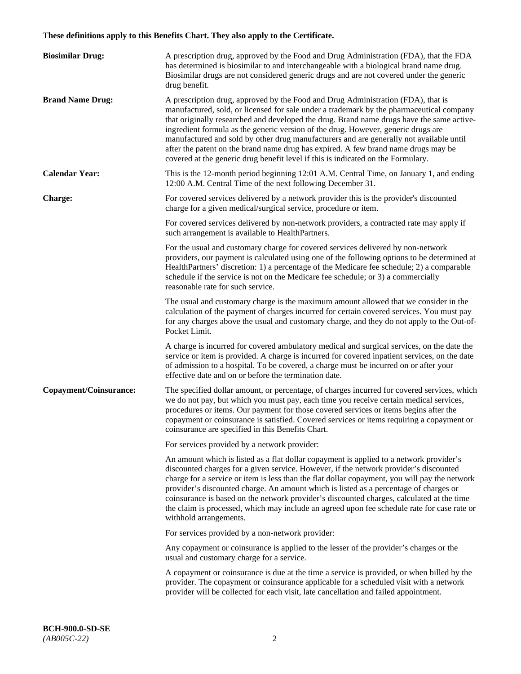# **These definitions apply to this Benefits Chart. They also apply to the Certificate.**

| <b>Biosimilar Drug:</b> | A prescription drug, approved by the Food and Drug Administration (FDA), that the FDA<br>has determined is biosimilar to and interchangeable with a biological brand name drug.<br>Biosimilar drugs are not considered generic drugs and are not covered under the generic<br>drug benefit.                                                                                                                                                                                                                                                                                                                                         |
|-------------------------|-------------------------------------------------------------------------------------------------------------------------------------------------------------------------------------------------------------------------------------------------------------------------------------------------------------------------------------------------------------------------------------------------------------------------------------------------------------------------------------------------------------------------------------------------------------------------------------------------------------------------------------|
| <b>Brand Name Drug:</b> | A prescription drug, approved by the Food and Drug Administration (FDA), that is<br>manufactured, sold, or licensed for sale under a trademark by the pharmaceutical company<br>that originally researched and developed the drug. Brand name drugs have the same active-<br>ingredient formula as the generic version of the drug. However, generic drugs are<br>manufactured and sold by other drug manufacturers and are generally not available until<br>after the patent on the brand name drug has expired. A few brand name drugs may be<br>covered at the generic drug benefit level if this is indicated on the Formulary. |
| <b>Calendar Year:</b>   | This is the 12-month period beginning 12:01 A.M. Central Time, on January 1, and ending<br>12:00 A.M. Central Time of the next following December 31.                                                                                                                                                                                                                                                                                                                                                                                                                                                                               |
| <b>Charge:</b>          | For covered services delivered by a network provider this is the provider's discounted<br>charge for a given medical/surgical service, procedure or item.                                                                                                                                                                                                                                                                                                                                                                                                                                                                           |
|                         | For covered services delivered by non-network providers, a contracted rate may apply if<br>such arrangement is available to HealthPartners.                                                                                                                                                                                                                                                                                                                                                                                                                                                                                         |
|                         | For the usual and customary charge for covered services delivered by non-network<br>providers, our payment is calculated using one of the following options to be determined at<br>HealthPartners' discretion: 1) a percentage of the Medicare fee schedule; 2) a comparable<br>schedule if the service is not on the Medicare fee schedule; or 3) a commercially<br>reasonable rate for such service.                                                                                                                                                                                                                              |
|                         | The usual and customary charge is the maximum amount allowed that we consider in the<br>calculation of the payment of charges incurred for certain covered services. You must pay<br>for any charges above the usual and customary charge, and they do not apply to the Out-of-<br>Pocket Limit.                                                                                                                                                                                                                                                                                                                                    |
|                         | A charge is incurred for covered ambulatory medical and surgical services, on the date the<br>service or item is provided. A charge is incurred for covered inpatient services, on the date<br>of admission to a hospital. To be covered, a charge must be incurred on or after your<br>effective date and on or before the termination date.                                                                                                                                                                                                                                                                                       |
| Copayment/Coinsurance:  | The specified dollar amount, or percentage, of charges incurred for covered services, which<br>we do not pay, but which you must pay, each time you receive certain medical services,<br>procedures or items. Our payment for those covered services or items begins after the<br>copayment or coinsurance is satisfied. Covered services or items requiring a copayment or<br>coinsurance are specified in this Benefits Chart.                                                                                                                                                                                                    |
|                         | For services provided by a network provider:                                                                                                                                                                                                                                                                                                                                                                                                                                                                                                                                                                                        |
|                         | An amount which is listed as a flat dollar copayment is applied to a network provider's<br>discounted charges for a given service. However, if the network provider's discounted<br>charge for a service or item is less than the flat dollar copayment, you will pay the network<br>provider's discounted charge. An amount which is listed as a percentage of charges or<br>coinsurance is based on the network provider's discounted charges, calculated at the time<br>the claim is processed, which may include an agreed upon fee schedule rate for case rate or<br>withhold arrangements.                                    |
|                         | For services provided by a non-network provider:                                                                                                                                                                                                                                                                                                                                                                                                                                                                                                                                                                                    |
|                         | Any copayment or coinsurance is applied to the lesser of the provider's charges or the<br>usual and customary charge for a service.                                                                                                                                                                                                                                                                                                                                                                                                                                                                                                 |
|                         | A copayment or coinsurance is due at the time a service is provided, or when billed by the<br>provider. The copayment or coinsurance applicable for a scheduled visit with a network<br>provider will be collected for each visit, late cancellation and failed appointment.                                                                                                                                                                                                                                                                                                                                                        |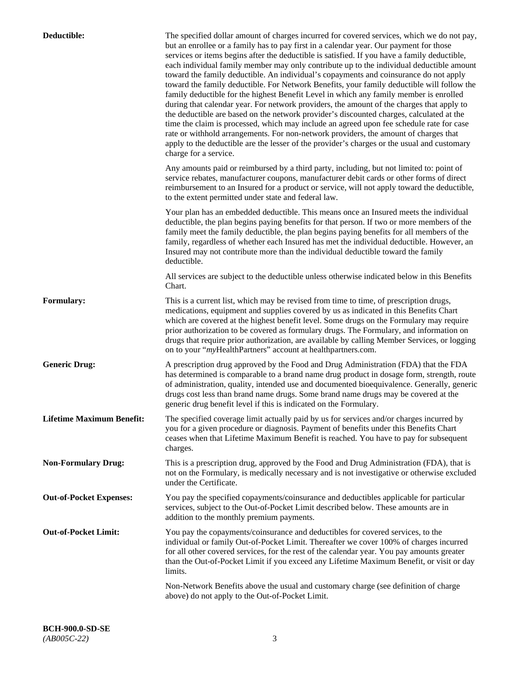| Deductible:                      | The specified dollar amount of charges incurred for covered services, which we do not pay,<br>but an enrollee or a family has to pay first in a calendar year. Our payment for those<br>services or items begins after the deductible is satisfied. If you have a family deductible,<br>each individual family member may only contribute up to the individual deductible amount<br>toward the family deductible. An individual's copayments and coinsurance do not apply<br>toward the family deductible. For Network Benefits, your family deductible will follow the<br>family deductible for the highest Benefit Level in which any family member is enrolled<br>during that calendar year. For network providers, the amount of the charges that apply to<br>the deductible are based on the network provider's discounted charges, calculated at the<br>time the claim is processed, which may include an agreed upon fee schedule rate for case<br>rate or withhold arrangements. For non-network providers, the amount of charges that<br>apply to the deductible are the lesser of the provider's charges or the usual and customary<br>charge for a service. |
|----------------------------------|------------------------------------------------------------------------------------------------------------------------------------------------------------------------------------------------------------------------------------------------------------------------------------------------------------------------------------------------------------------------------------------------------------------------------------------------------------------------------------------------------------------------------------------------------------------------------------------------------------------------------------------------------------------------------------------------------------------------------------------------------------------------------------------------------------------------------------------------------------------------------------------------------------------------------------------------------------------------------------------------------------------------------------------------------------------------------------------------------------------------------------------------------------------------|
|                                  | Any amounts paid or reimbursed by a third party, including, but not limited to: point of<br>service rebates, manufacturer coupons, manufacturer debit cards or other forms of direct<br>reimbursement to an Insured for a product or service, will not apply toward the deductible,<br>to the extent permitted under state and federal law.                                                                                                                                                                                                                                                                                                                                                                                                                                                                                                                                                                                                                                                                                                                                                                                                                            |
|                                  | Your plan has an embedded deductible. This means once an Insured meets the individual<br>deductible, the plan begins paying benefits for that person. If two or more members of the<br>family meet the family deductible, the plan begins paying benefits for all members of the<br>family, regardless of whether each Insured has met the individual deductible. However, an<br>Insured may not contribute more than the individual deductible toward the family<br>deductible.                                                                                                                                                                                                                                                                                                                                                                                                                                                                                                                                                                                                                                                                                       |
|                                  | All services are subject to the deductible unless otherwise indicated below in this Benefits<br>Chart.                                                                                                                                                                                                                                                                                                                                                                                                                                                                                                                                                                                                                                                                                                                                                                                                                                                                                                                                                                                                                                                                 |
| <b>Formulary:</b>                | This is a current list, which may be revised from time to time, of prescription drugs,<br>medications, equipment and supplies covered by us as indicated in this Benefits Chart<br>which are covered at the highest benefit level. Some drugs on the Formulary may require<br>prior authorization to be covered as formulary drugs. The Formulary, and information on<br>drugs that require prior authorization, are available by calling Member Services, or logging<br>on to your "myHealthPartners" account at healthpartners.com.                                                                                                                                                                                                                                                                                                                                                                                                                                                                                                                                                                                                                                  |
| <b>Generic Drug:</b>             | A prescription drug approved by the Food and Drug Administration (FDA) that the FDA<br>has determined is comparable to a brand name drug product in dosage form, strength, route<br>of administration, quality, intended use and documented bioequivalence. Generally, generic<br>drugs cost less than brand name drugs. Some brand name drugs may be covered at the<br>generic drug benefit level if this is indicated on the Formulary.                                                                                                                                                                                                                                                                                                                                                                                                                                                                                                                                                                                                                                                                                                                              |
| <b>Lifetime Maximum Benefit:</b> | The specified coverage limit actually paid by us for services and/or charges incurred by<br>you for a given procedure or diagnosis. Payment of benefits under this Benefits Chart<br>ceases when that Lifetime Maximum Benefit is reached. You have to pay for subsequent<br>charges.                                                                                                                                                                                                                                                                                                                                                                                                                                                                                                                                                                                                                                                                                                                                                                                                                                                                                  |
| <b>Non-Formulary Drug:</b>       | This is a prescription drug, approved by the Food and Drug Administration (FDA), that is<br>not on the Formulary, is medically necessary and is not investigative or otherwise excluded<br>under the Certificate.                                                                                                                                                                                                                                                                                                                                                                                                                                                                                                                                                                                                                                                                                                                                                                                                                                                                                                                                                      |
| <b>Out-of-Pocket Expenses:</b>   | You pay the specified copayments/coinsurance and deductibles applicable for particular<br>services, subject to the Out-of-Pocket Limit described below. These amounts are in<br>addition to the monthly premium payments.                                                                                                                                                                                                                                                                                                                                                                                                                                                                                                                                                                                                                                                                                                                                                                                                                                                                                                                                              |
| <b>Out-of-Pocket Limit:</b>      | You pay the copayments/coinsurance and deductibles for covered services, to the<br>individual or family Out-of-Pocket Limit. Thereafter we cover 100% of charges incurred<br>for all other covered services, for the rest of the calendar year. You pay amounts greater<br>than the Out-of-Pocket Limit if you exceed any Lifetime Maximum Benefit, or visit or day<br>limits.                                                                                                                                                                                                                                                                                                                                                                                                                                                                                                                                                                                                                                                                                                                                                                                         |
|                                  | Non-Network Benefits above the usual and customary charge (see definition of charge<br>above) do not apply to the Out-of-Pocket Limit.                                                                                                                                                                                                                                                                                                                                                                                                                                                                                                                                                                                                                                                                                                                                                                                                                                                                                                                                                                                                                                 |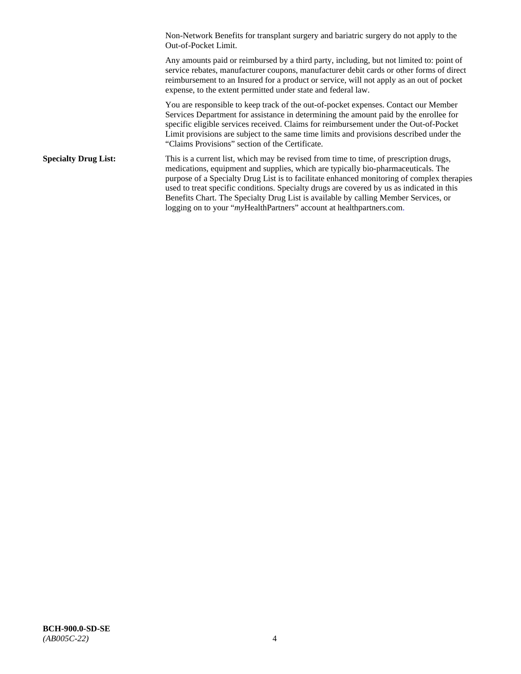Non-Network Benefits for transplant surgery and bariatric surgery do not apply to the Out-of-Pocket Limit.

Any amounts paid or reimbursed by a third party, including, but not limited to: point of service rebates, manufacturer coupons, manufacturer debit cards or other forms of direct reimbursement to an Insured for a product or service, will not apply as an out of pocket expense, to the extent permitted under state and federal law.

You are responsible to keep track of the out-of-pocket expenses. Contact our Member Services Department for assistance in determining the amount paid by the enrollee for specific eligible services received. Claims for reimbursement under the Out-of-Pocket Limit provisions are subject to the same time limits and provisions described under the "Claims Provisions" section of the Certificate.

**Specialty Drug List:** This is a current list, which may be revised from time to time, of prescription drugs, medications, equipment and supplies, which are typically bio-pharmaceuticals. The purpose of a Specialty Drug List is to facilitate enhanced monitoring of complex therapies used to treat specific conditions. Specialty drugs are covered by us as indicated in this Benefits Chart. The Specialty Drug List is available by calling Member Services, or logging on to your "myHealthPartners" account at [healthpartners.com.](http://healthpartners.com/)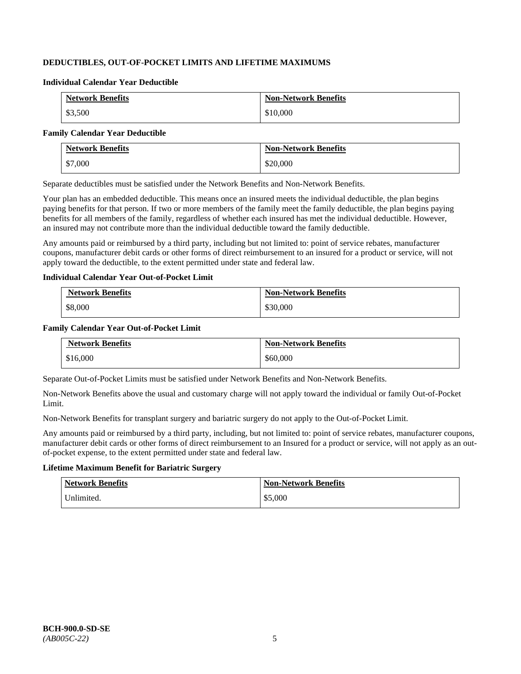# **DEDUCTIBLES, OUT-OF-POCKET LIMITS AND LIFETIME MAXIMUMS**

#### **Individual Calendar Year Deductible**

| <b>Network Benefits</b> | <b>Non-Network Benefits</b> |
|-------------------------|-----------------------------|
| \$3,500                 | \$10,000                    |

#### **Family Calendar Year Deductible**

| <b>Network Benefits</b> | <b>Non-Network Benefits</b> |
|-------------------------|-----------------------------|
| \$7,000                 | \$20,000                    |

Separate deductibles must be satisfied under the Network Benefits and Non-Network Benefits.

Your plan has an embedded deductible. This means once an insured meets the individual deductible, the plan begins paying benefits for that person. If two or more members of the family meet the family deductible, the plan begins paying benefits for all members of the family, regardless of whether each insured has met the individual deductible. However, an insured may not contribute more than the individual deductible toward the family deductible.

Any amounts paid or reimbursed by a third party, including but not limited to: point of service rebates, manufacturer coupons, manufacturer debit cards or other forms of direct reimbursement to an insured for a product or service, will not apply toward the deductible, to the extent permitted under state and federal law.

### **Individual Calendar Year Out-of-Pocket Limit**

| <b>Network Benefits</b> | <b>Non-Network Benefits</b> |
|-------------------------|-----------------------------|
| \$8,000                 | \$30,000                    |

# **Family Calendar Year Out-of-Pocket Limit**

| <b>Network Benefits</b> | <b>Non-Network Benefits</b> |
|-------------------------|-----------------------------|
| \$16,000                | \$60,000                    |

Separate Out-of-Pocket Limits must be satisfied under Network Benefits and Non-Network Benefits.

Non-Network Benefits above the usual and customary charge will not apply toward the individual or family Out-of-Pocket Limit.

Non-Network Benefits for transplant surgery and bariatric surgery do not apply to the Out-of-Pocket Limit.

Any amounts paid or reimbursed by a third party, including, but not limited to: point of service rebates, manufacturer coupons, manufacturer debit cards or other forms of direct reimbursement to an Insured for a product or service, will not apply as an outof-pocket expense, to the extent permitted under state and federal law.

# **Lifetime Maximum Benefit for Bariatric Surgery**

| <b>Network Benefits</b> | <b>Non-Network Benefits</b> |
|-------------------------|-----------------------------|
| Unlimited.              | \$5,000                     |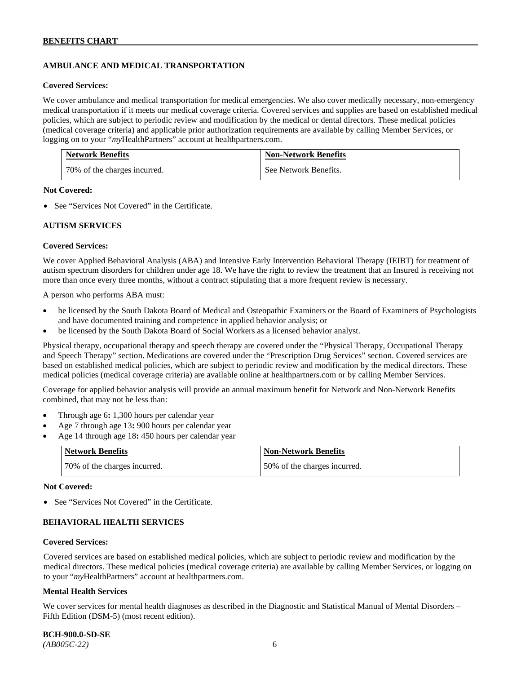# **AMBULANCE AND MEDICAL TRANSPORTATION**

#### **Covered Services:**

We cover ambulance and medical transportation for medical emergencies. We also cover medically necessary, non-emergency medical transportation if it meets our medical coverage criteria. Covered services and supplies are based on established medical policies, which are subject to periodic review and modification by the medical or dental directors. These medical policies (medical coverage criteria) and applicable prior authorization requirements are available by calling Member Services, or logging on to your "*my*HealthPartners" account at [healthpartners.com.](http://healthpartners.com/)

| <b>Network Benefits</b>      | <b>Non-Network Benefits</b> |
|------------------------------|-----------------------------|
| 70% of the charges incurred. | See Network Benefits.       |

### **Not Covered:**

• See "Services Not Covered" in the Certificate.

### **AUTISM SERVICES**

### **Covered Services:**

We cover Applied Behavioral Analysis (ABA) and Intensive Early Intervention Behavioral Therapy (IEIBT) for treatment of autism spectrum disorders for children under age 18. We have the right to review the treatment that an Insured is receiving not more than once every three months, without a contract stipulating that a more frequent review is necessary.

A person who performs ABA must:

- be licensed by the South Dakota Board of Medical and Osteopathic Examiners or the Board of Examiners of Psychologists and have documented training and competence in applied behavior analysis; or
- be licensed by the South Dakota Board of Social Workers as a licensed behavior analyst.

Physical therapy, occupational therapy and speech therapy are covered under the "Physical Therapy, Occupational Therapy and Speech Therapy" section. Medications are covered under the "Prescription Drug Services" section. Covered services are based on established medical policies, which are subject to periodic review and modification by the medical directors. These medical policies (medical coverage criteria) are available online at [healthpartners.com](http://healthpartners.com/) or by calling Member Services.

Coverage for applied behavior analysis will provide an annual maximum benefit for Network and Non-Network Benefits combined, that may not be less than:

- Through age 6**:** 1,300 hours per calendar year
- Age 7 through age 13**:** 900 hours per calendar year
- Age 14 through age 18**:** 450 hours per calendar year

| <b>Network Benefits</b>      | <b>Non-Network Benefits</b>  |
|------------------------------|------------------------------|
| 70% of the charges incurred. | 50% of the charges incurred. |

#### **Not Covered:**

• See "Services Not Covered" in the Certificate.

# **BEHAVIORAL HEALTH SERVICES**

#### **Covered Services:**

Covered services are based on established medical policies, which are subject to periodic review and modification by the medical directors. These medical policies (medical coverage criteria) are available by calling Member Services, or logging on to your "*my*HealthPartners" account at [healthpartners.com.](http://healthpartners.com/)

#### **Mental Health Services**

We cover services for mental health diagnoses as described in the Diagnostic and Statistical Manual of Mental Disorders – Fifth Edition (DSM-5) (most recent edition).

**BCH-900.0-SD-SE**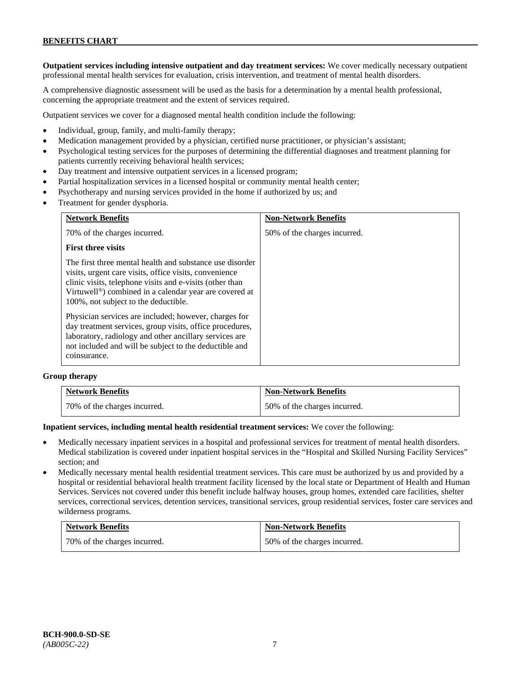**Outpatient services including intensive outpatient and day treatment services:** We cover medically necessary outpatient professional mental health services for evaluation, crisis intervention, and treatment of mental health disorders.

A comprehensive diagnostic assessment will be used as the basis for a determination by a mental health professional, concerning the appropriate treatment and the extent of services required.

Outpatient services we cover for a diagnosed mental health condition include the following:

- Individual, group, family, and multi-family therapy;
- Medication management provided by a physician, certified nurse practitioner, or physician's assistant;
- Psychological testing services for the purposes of determining the differential diagnoses and treatment planning for patients currently receiving behavioral health services;
- Day treatment and intensive outpatient services in a licensed program;
- Partial hospitalization services in a licensed hospital or community mental health center;
- Psychotherapy and nursing services provided in the home if authorized by us; and
- Treatment for gender dysphoria.

| <b>Network Benefits</b>                                                                                                                                                                                                                                                                       | <b>Non-Network Benefits</b>  |
|-----------------------------------------------------------------------------------------------------------------------------------------------------------------------------------------------------------------------------------------------------------------------------------------------|------------------------------|
| 70% of the charges incurred.                                                                                                                                                                                                                                                                  | 50% of the charges incurred. |
| <b>First three visits</b>                                                                                                                                                                                                                                                                     |                              |
| The first three mental health and substance use disorder<br>visits, urgent care visits, office visits, convenience<br>clinic visits, telephone visits and e-visits (other than<br>Virtuwell <sup>®</sup> ) combined in a calendar year are covered at<br>100%, not subject to the deductible. |                              |
| Physician services are included; however, charges for<br>day treatment services, group visits, office procedures,<br>laboratory, radiology and other ancillary services are<br>not included and will be subject to the deductible and<br>coinsurance.                                         |                              |

#### **Group therapy**

| <b>Network Benefits</b>      | <b>Non-Network Benefits</b>  |
|------------------------------|------------------------------|
| 70% of the charges incurred. | 50% of the charges incurred. |

#### **Inpatient services, including mental health residential treatment services:** We cover the following:

- Medically necessary inpatient services in a hospital and professional services for treatment of mental health disorders. Medical stabilization is covered under inpatient hospital services in the "Hospital and Skilled Nursing Facility Services" section; and
- Medically necessary mental health residential treatment services. This care must be authorized by us and provided by a hospital or residential behavioral health treatment facility licensed by the local state or Department of Health and Human Services. Services not covered under this benefit include halfway houses, group homes, extended care facilities, shelter services, correctional services, detention services, transitional services, group residential services, foster care services and wilderness programs.

| <b>Network Benefits</b>      | <b>Non-Network Benefits</b>  |
|------------------------------|------------------------------|
| 70% of the charges incurred. | 50% of the charges incurred. |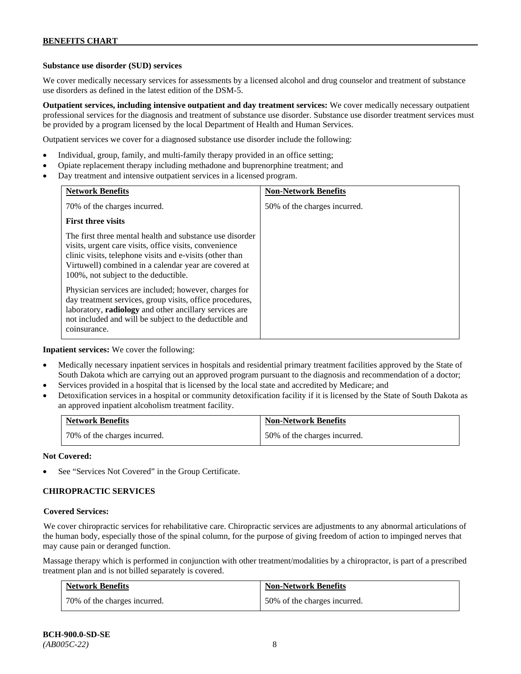# **Substance use disorder (SUD) services**

We cover medically necessary services for assessments by a licensed alcohol and drug counselor and treatment of substance use disorders as defined in the latest edition of the DSM-5.

**Outpatient services, including intensive outpatient and day treatment services:** We cover medically necessary outpatient professional services for the diagnosis and treatment of substance use disorder. Substance use disorder treatment services must be provided by a program licensed by the local Department of Health and Human Services.

Outpatient services we cover for a diagnosed substance use disorder include the following:

- Individual, group, family, and multi-family therapy provided in an office setting;
- Opiate replacement therapy including methadone and buprenorphine treatment; and
- Day treatment and intensive outpatient services in a licensed program.

| <b>Network Benefits</b>                                                                                                                                                                                                                                                         | <b>Non-Network Benefits</b>  |
|---------------------------------------------------------------------------------------------------------------------------------------------------------------------------------------------------------------------------------------------------------------------------------|------------------------------|
| 70% of the charges incurred.                                                                                                                                                                                                                                                    | 50% of the charges incurred. |
| <b>First three visits</b>                                                                                                                                                                                                                                                       |                              |
| The first three mental health and substance use disorder<br>visits, urgent care visits, office visits, convenience<br>clinic visits, telephone visits and e-visits (other than<br>Virtuwell) combined in a calendar year are covered at<br>100%, not subject to the deductible. |                              |
| Physician services are included; however, charges for<br>day treatment services, group visits, office procedures,<br>laboratory, radiology and other ancillary services are<br>not included and will be subject to the deductible and<br>coinsurance.                           |                              |

**Inpatient services:** We cover the following:

- Medically necessary inpatient services in hospitals and residential primary treatment facilities approved by the State of South Dakota which are carrying out an approved program pursuant to the diagnosis and recommendation of a doctor;
- Services provided in a hospital that is licensed by the local state and accredited by Medicare; and
- Detoxification services in a hospital or community detoxification facility if it is licensed by the State of South Dakota as an approved inpatient alcoholism treatment facility.

| <b>Network Benefits</b> |                              | <b>Non-Network Benefits</b>  |
|-------------------------|------------------------------|------------------------------|
|                         | 70% of the charges incurred. | 50% of the charges incurred. |

**Not Covered:**

See "Services Not Covered" in the Group Certificate.

# **CHIROPRACTIC SERVICES**

#### **Covered Services:**

We cover chiropractic services for rehabilitative care. Chiropractic services are adjustments to any abnormal articulations of the human body, especially those of the spinal column, for the purpose of giving freedom of action to impinged nerves that may cause pain or deranged function.

Massage therapy which is performed in conjunction with other treatment/modalities by a chiropractor, is part of a prescribed treatment plan and is not billed separately is covered.

| <b>Network Benefits</b>      | <b>Non-Network Benefits</b>  |
|------------------------------|------------------------------|
| 70% of the charges incurred. | 50% of the charges incurred. |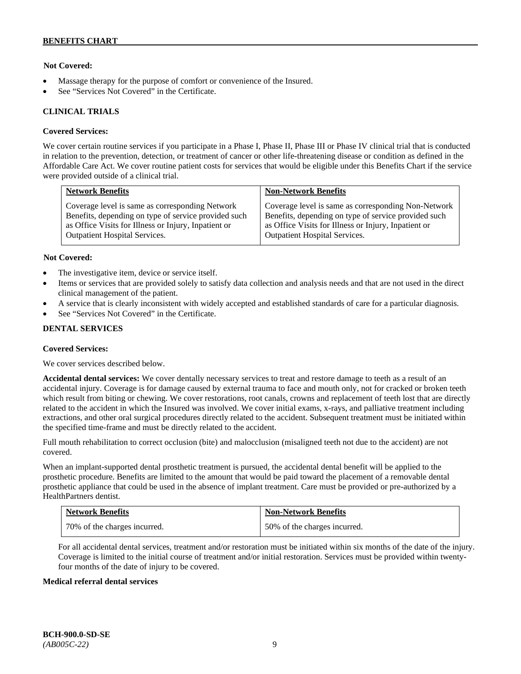# **Not Covered:**

- Massage therapy for the purpose of comfort or convenience of the Insured.
- See "Services Not Covered" in the Certificate.

### **CLINICAL TRIALS**

### **Covered Services:**

We cover certain routine services if you participate in a Phase I, Phase II, Phase III or Phase IV clinical trial that is conducted in relation to the prevention, detection, or treatment of cancer or other life-threatening disease or condition as defined in the Affordable Care Act. We cover routine patient costs for services that would be eligible under this Benefits Chart if the service were provided outside of a clinical trial.

| <b>Network Benefits</b>                              | <b>Non-Network Benefits</b>                          |
|------------------------------------------------------|------------------------------------------------------|
| Coverage level is same as corresponding Network      | Coverage level is same as corresponding Non-Network  |
| Benefits, depending on type of service provided such | Benefits, depending on type of service provided such |
| as Office Visits for Illness or Injury, Inpatient or | as Office Visits for Illness or Injury, Inpatient or |
| <b>Outpatient Hospital Services.</b>                 | Outpatient Hospital Services.                        |

### **Not Covered:**

- The investigative item, device or service itself.
- Items or services that are provided solely to satisfy data collection and analysis needs and that are not used in the direct clinical management of the patient.
- A service that is clearly inconsistent with widely accepted and established standards of care for a particular diagnosis.
- See "Services Not Covered" in the Certificate.

# **DENTAL SERVICES**

#### **Covered Services:**

We cover services described below.

**Accidental dental services:** We cover dentally necessary services to treat and restore damage to teeth as a result of an accidental injury. Coverage is for damage caused by external trauma to face and mouth only, not for cracked or broken teeth which result from biting or chewing. We cover restorations, root canals, crowns and replacement of teeth lost that are directly related to the accident in which the Insured was involved. We cover initial exams, x-rays, and palliative treatment including extractions, and other oral surgical procedures directly related to the accident. Subsequent treatment must be initiated within the specified time-frame and must be directly related to the accident.

Full mouth rehabilitation to correct occlusion (bite) and malocclusion (misaligned teeth not due to the accident) are not covered.

When an implant-supported dental prosthetic treatment is pursued, the accidental dental benefit will be applied to the prosthetic procedure. Benefits are limited to the amount that would be paid toward the placement of a removable dental prosthetic appliance that could be used in the absence of implant treatment. Care must be provided or pre-authorized by a HealthPartners dentist.

| <b>Network Benefits</b>      | <b>Non-Network Benefits</b>  |
|------------------------------|------------------------------|
| 70% of the charges incurred. | 50% of the charges incurred. |

For all accidental dental services, treatment and/or restoration must be initiated within six months of the date of the injury. Coverage is limited to the initial course of treatment and/or initial restoration. Services must be provided within twentyfour months of the date of injury to be covered.

#### **Medical referral dental services**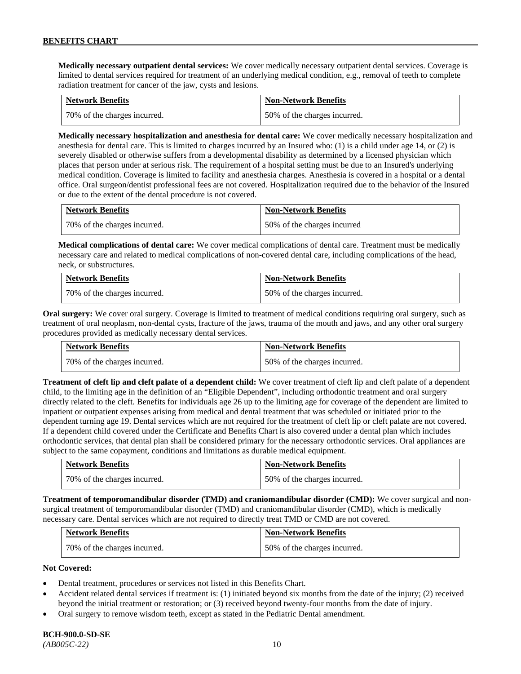**Medically necessary outpatient dental services:** We cover medically necessary outpatient dental services. Coverage is limited to dental services required for treatment of an underlying medical condition, e.g., removal of teeth to complete radiation treatment for cancer of the jaw, cysts and lesions.

| <b>Network Benefits</b>      | <b>Non-Network Benefits</b>  |
|------------------------------|------------------------------|
| 70% of the charges incurred. | 50% of the charges incurred. |

**Medically necessary hospitalization and anesthesia for dental care:** We cover medically necessary hospitalization and anesthesia for dental care. This is limited to charges incurred by an Insured who: (1) is a child under age 14, or (2) is severely disabled or otherwise suffers from a developmental disability as determined by a licensed physician which places that person under at serious risk. The requirement of a hospital setting must be due to an Insured's underlying medical condition. Coverage is limited to facility and anesthesia charges. Anesthesia is covered in a hospital or a dental office. Oral surgeon/dentist professional fees are not covered. Hospitalization required due to the behavior of the Insured or due to the extent of the dental procedure is not covered.

| <b>Network Benefits</b>       | <b>Non-Network Benefits</b> |
|-------------------------------|-----------------------------|
| 170% of the charges incurred. | 50% of the charges incurred |

**Medical complications of dental care:** We cover medical complications of dental care. Treatment must be medically necessary care and related to medical complications of non-covered dental care, including complications of the head, neck, or substructures.

| <b>Network Benefits</b>      | <b>Non-Network Benefits</b>  |
|------------------------------|------------------------------|
| 70% of the charges incurred. | 50% of the charges incurred. |

**Oral surgery:** We cover oral surgery. Coverage is limited to treatment of medical conditions requiring oral surgery, such as treatment of oral neoplasm, non-dental cysts, fracture of the jaws, trauma of the mouth and jaws, and any other oral surgery procedures provided as medically necessary dental services.

| <b>Network Benefits</b>      | <b>Non-Network Benefits</b>  |
|------------------------------|------------------------------|
| 70% of the charges incurred. | 50% of the charges incurred. |

**Treatment of cleft lip and cleft palate of a dependent child:** We cover treatment of cleft lip and cleft palate of a dependent child, to the limiting age in the definition of an "Eligible Dependent", including orthodontic treatment and oral surgery directly related to the cleft. Benefits for individuals age 26 up to the limiting age for coverage of the dependent are limited to inpatient or outpatient expenses arising from medical and dental treatment that was scheduled or initiated prior to the dependent turning age 19. Dental services which are not required for the treatment of cleft lip or cleft palate are not covered. If a dependent child covered under the Certificate and Benefits Chart is also covered under a dental plan which includes orthodontic services, that dental plan shall be considered primary for the necessary orthodontic services. Oral appliances are subject to the same copayment, conditions and limitations as durable medical equipment.

| <b>Network Benefits</b>      | <b>Non-Network Benefits</b>  |
|------------------------------|------------------------------|
| 70% of the charges incurred. | 50% of the charges incurred. |

**Treatment of temporomandibular disorder (TMD) and craniomandibular disorder (CMD):** We cover surgical and nonsurgical treatment of temporomandibular disorder (TMD) and craniomandibular disorder (CMD), which is medically necessary care. Dental services which are not required to directly treat TMD or CMD are not covered.

| <b>Network Benefits</b>      | <b>Non-Network Benefits</b>  |
|------------------------------|------------------------------|
| 70% of the charges incurred. | 50% of the charges incurred. |

# **Not Covered:**

- Dental treatment, procedures or services not listed in this Benefits Chart.
- Accident related dental services if treatment is: (1) initiated beyond six months from the date of the injury; (2) received beyond the initial treatment or restoration; or (3) received beyond twenty-four months from the date of injury.
- Oral surgery to remove wisdom teeth, except as stated in the Pediatric Dental amendment.

# **BCH-900.0-SD-SE**

*(AB005C-22)* 10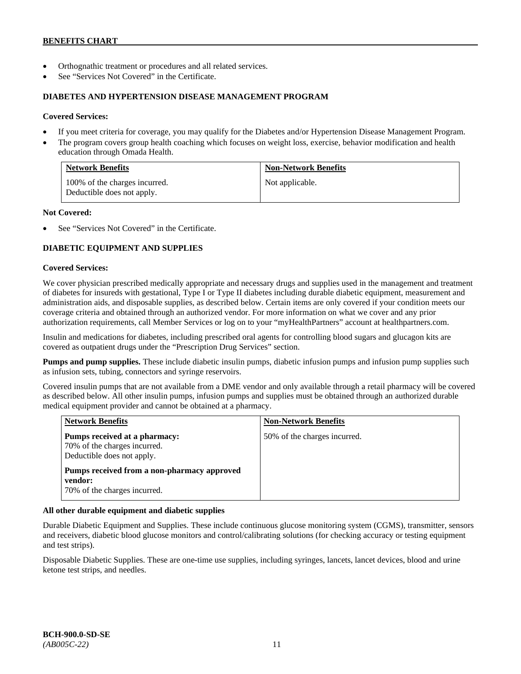- Orthognathic treatment or procedures and all related services.
- See "Services Not Covered" in the Certificate.

### **DIABETES AND HYPERTENSION DISEASE MANAGEMENT PROGRAM**

### **Covered Services:**

- If you meet criteria for coverage, you may qualify for the Diabetes and/or Hypertension Disease Management Program.
- The program covers group health coaching which focuses on weight loss, exercise, behavior modification and health education through Omada Health.

| <b>Network Benefits</b>                                     | <b>Non-Network Benefits</b> |
|-------------------------------------------------------------|-----------------------------|
| 100% of the charges incurred.<br>Deductible does not apply. | Not applicable.             |

### **Not Covered:**

See "Services Not Covered" in the Certificate.

# **DIABETIC EQUIPMENT AND SUPPLIES**

### **Covered Services:**

We cover physician prescribed medically appropriate and necessary drugs and supplies used in the management and treatment of diabetes for insureds with gestational, Type I or Type II diabetes including durable diabetic equipment, measurement and administration aids, and disposable supplies, as described below. Certain items are only covered if your condition meets our coverage criteria and obtained through an authorized vendor. For more information on what we cover and any prior authorization requirements, call Member Services or log on to your "myHealthPartners" account at [healthpartners.com.](http://www.healthpartners.com/)

Insulin and medications for diabetes, including prescribed oral agents for controlling blood sugars and glucagon kits are covered as outpatient drugs under the "Prescription Drug Services" section.

**Pumps and pump supplies.** These include diabetic insulin pumps, diabetic infusion pumps and infusion pump supplies such as infusion sets, tubing, connectors and syringe reservoirs.

Covered insulin pumps that are not available from a DME vendor and only available through a retail pharmacy will be covered as described below. All other insulin pumps, infusion pumps and supplies must be obtained through an authorized durable medical equipment provider and cannot be obtained at a pharmacy.

| <b>Network Benefits</b>                                                                     | <b>Non-Network Benefits</b>  |
|---------------------------------------------------------------------------------------------|------------------------------|
| Pumps received at a pharmacy:<br>70% of the charges incurred.<br>Deductible does not apply. | 50% of the charges incurred. |
| Pumps received from a non-pharmacy approved<br>vendor:<br>70% of the charges incurred.      |                              |

# **All other durable equipment and diabetic supplies**

Durable Diabetic Equipment and Supplies. These include continuous glucose monitoring system (CGMS), transmitter, sensors and receivers, diabetic blood glucose monitors and control/calibrating solutions (for checking accuracy or testing equipment and test strips).

Disposable Diabetic Supplies. These are one-time use supplies, including syringes, lancets, lancet devices, blood and urine ketone test strips, and needles.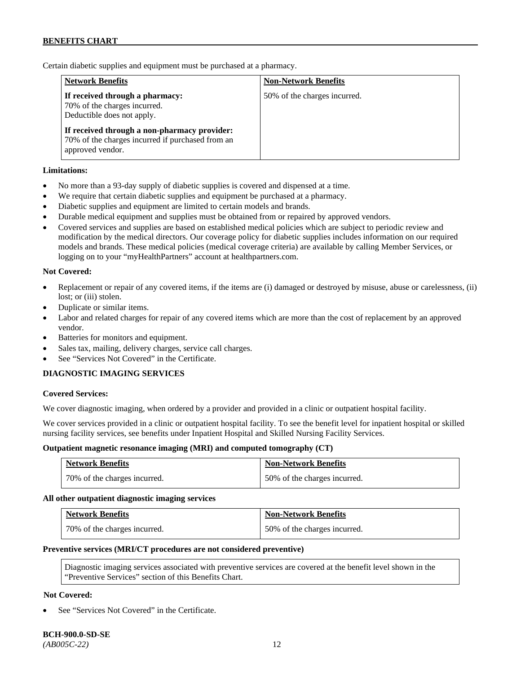Certain diabetic supplies and equipment must be purchased at a pharmacy.

| <b>Network Benefits</b>                                                                                              | <b>Non-Network Benefits</b>  |
|----------------------------------------------------------------------------------------------------------------------|------------------------------|
| If received through a pharmacy:<br>70% of the charges incurred.<br>Deductible does not apply.                        | 50% of the charges incurred. |
| If received through a non-pharmacy provider:<br>70% of the charges incurred if purchased from an<br>approved vendor. |                              |

# **Limitations:**

- No more than a 93-day supply of diabetic supplies is covered and dispensed at a time.
- We require that certain diabetic supplies and equipment be purchased at a pharmacy.
- Diabetic supplies and equipment are limited to certain models and brands.
- Durable medical equipment and supplies must be obtained from or repaired by approved vendors.
- Covered services and supplies are based on established medical policies which are subject to periodic review and modification by the medical directors. Our coverage policy for diabetic supplies includes information on our required models and brands. These medical policies (medical coverage criteria) are available by calling Member Services, or logging on to your "myHealthPartners" account at [healthpartners.com.](http://www.healthpartners.com/)

# **Not Covered:**

- Replacement or repair of any covered items, if the items are (i) damaged or destroyed by misuse, abuse or carelessness, (ii) lost; or (iii) stolen.
- Duplicate or similar items.
- Labor and related charges for repair of any covered items which are more than the cost of replacement by an approved vendor.
- Batteries for monitors and equipment.
- Sales tax, mailing, delivery charges, service call charges.
- See "Services Not Covered" in the Certificate.

# **DIAGNOSTIC IMAGING SERVICES**

#### **Covered Services:**

We cover diagnostic imaging, when ordered by a provider and provided in a clinic or outpatient hospital facility.

We cover services provided in a clinic or outpatient hospital facility. To see the benefit level for inpatient hospital or skilled nursing facility services, see benefits under Inpatient Hospital and Skilled Nursing Facility Services.

#### **Outpatient magnetic resonance imaging (MRI) and computed tomography (CT)**

| <b>Network Benefits</b>      | <b>Non-Network Benefits</b>  |
|------------------------------|------------------------------|
| 70% of the charges incurred. | 50% of the charges incurred. |

#### **All other outpatient diagnostic imaging services**

| <b>Network Benefits</b>      | <b>Non-Network Benefits</b>  |
|------------------------------|------------------------------|
| 70% of the charges incurred. | 50% of the charges incurred. |

#### **Preventive services (MRI/CT procedures are not considered preventive)**

Diagnostic imaging services associated with preventive services are covered at the benefit level shown in the "Preventive Services" section of this Benefits Chart.

# **Not Covered:**

See "Services Not Covered" in the Certificate.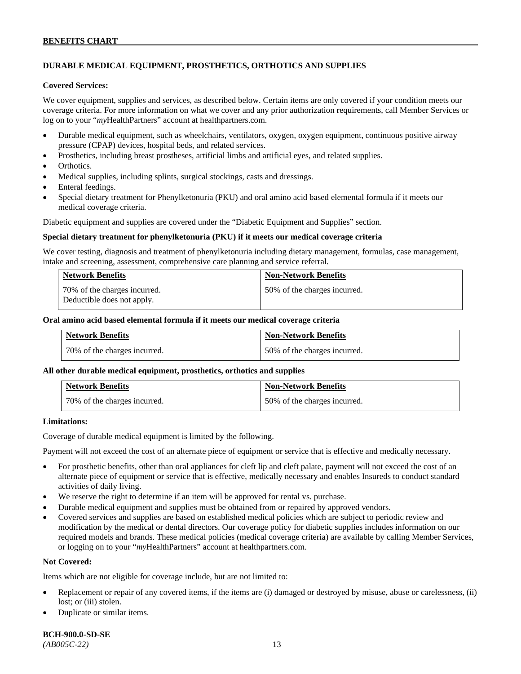# **DURABLE MEDICAL EQUIPMENT, PROSTHETICS, ORTHOTICS AND SUPPLIES**

#### **Covered Services:**

We cover equipment, supplies and services, as described below. Certain items are only covered if your condition meets our coverage criteria. For more information on what we cover and any prior authorization requirements, call Member Services or log on to your "*my*HealthPartners" account at [healthpartners.com.](http://healthpartners.com/)

- Durable medical equipment, such as wheelchairs, ventilators, oxygen, oxygen equipment, continuous positive airway pressure (CPAP) devices, hospital beds, and related services.
- Prosthetics, including breast prostheses, artificial limbs and artificial eyes, and related supplies.
- Orthotics.
- Medical supplies, including splints, surgical stockings, casts and dressings.
- Enteral feedings.
- Special dietary treatment for Phenylketonuria (PKU) and oral amino acid based elemental formula if it meets our medical coverage criteria.

Diabetic equipment and supplies are covered under the "Diabetic Equipment and Supplies" section.

#### **Special dietary treatment for phenylketonuria (PKU) if it meets our medical coverage criteria**

We cover testing, diagnosis and treatment of phenylketonuria including dietary management, formulas, case management, intake and screening, assessment, comprehensive care planning and service referral.

| <b>Network Benefits</b>                                    | <b>Non-Network Benefits</b>  |
|------------------------------------------------------------|------------------------------|
| 70% of the charges incurred.<br>Deductible does not apply. | 50% of the charges incurred. |

## **Oral amino acid based elemental formula if it meets our medical coverage criteria**

| <b>Network Benefits</b>      | <b>Non-Network Benefits</b>  |
|------------------------------|------------------------------|
| 70% of the charges incurred. | 50% of the charges incurred. |

#### **All other durable medical equipment, prosthetics, orthotics and supplies**

| <b>Network Benefits</b>      | <b>Non-Network Benefits</b>  |
|------------------------------|------------------------------|
| 70% of the charges incurred. | 50% of the charges incurred. |

#### **Limitations:**

Coverage of durable medical equipment is limited by the following.

Payment will not exceed the cost of an alternate piece of equipment or service that is effective and medically necessary.

- For prosthetic benefits, other than oral appliances for cleft lip and cleft palate, payment will not exceed the cost of an alternate piece of equipment or service that is effective, medically necessary and enables Insureds to conduct standard activities of daily living.
- We reserve the right to determine if an item will be approved for rental vs. purchase.
- Durable medical equipment and supplies must be obtained from or repaired by approved vendors.
- Covered services and supplies are based on established medical policies which are subject to periodic review and modification by the medical or dental directors. Our coverage policy for diabetic supplies includes information on our required models and brands. These medical policies (medical coverage criteria) are available by calling Member Services, or logging on to your "*my*HealthPartners" account at [healthpartners.com.](http://www.healthpartners.com/)

# **Not Covered:**

Items which are not eligible for coverage include, but are not limited to:

- Replacement or repair of any covered items, if the items are (i) damaged or destroyed by misuse, abuse or carelessness, (ii) lost; or (iii) stolen.
- Duplicate or similar items.

**BCH-900.0-SD-SE** 

*(AB005C-22)* 13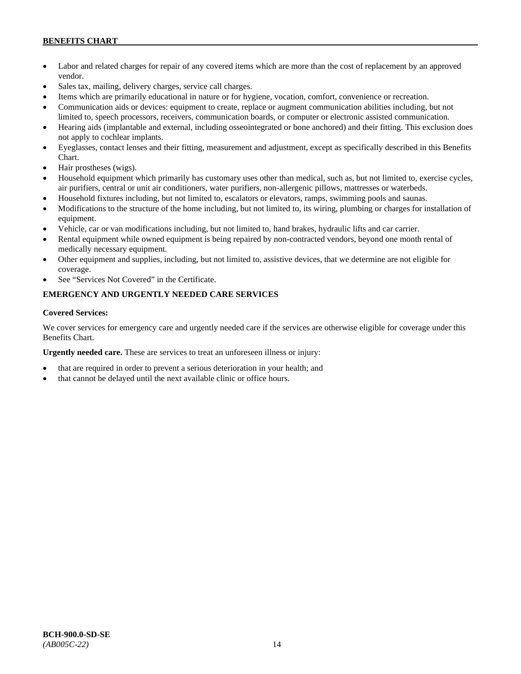- Labor and related charges for repair of any covered items which are more than the cost of replacement by an approved vendor.
- Sales tax, mailing, delivery charges, service call charges.
- Items which are primarily educational in nature or for hygiene, vocation, comfort, convenience or recreation.
- Communication aids or devices: equipment to create, replace or augment communication abilities including, but not limited to, speech processors, receivers, communication boards, or computer or electronic assisted communication.
- Hearing aids (implantable and external, including osseointegrated or bone anchored) and their fitting. This exclusion does not apply to cochlear implants.
- Eyeglasses, contact lenses and their fitting, measurement and adjustment, except as specifically described in this Benefits Chart.
- Hair prostheses (wigs).
- Household equipment which primarily has customary uses other than medical, such as, but not limited to, exercise cycles, air purifiers, central or unit air conditioners, water purifiers, non-allergenic pillows, mattresses or waterbeds.
- Household fixtures including, but not limited to, escalators or elevators, ramps, swimming pools and saunas.
- Modifications to the structure of the home including, but not limited to, its wiring, plumbing or charges for installation of equipment.
- Vehicle, car or van modifications including, but not limited to, hand brakes, hydraulic lifts and car carrier.
- Rental equipment while owned equipment is being repaired by non-contracted vendors, beyond one month rental of medically necessary equipment.
- Other equipment and supplies, including, but not limited to, assistive devices, that we determine are not eligible for coverage.
- See "Services Not Covered" in the Certificate.

# **EMERGENCY AND URGENTLY NEEDED CARE SERVICES**

# **Covered Services:**

We cover services for emergency care and urgently needed care if the services are otherwise eligible for coverage under this Benefits Chart.

**Urgently needed care.** These are services to treat an unforeseen illness or injury:

- that are required in order to prevent a serious deterioration in your health; and
- that cannot be delayed until the next available clinic or office hours.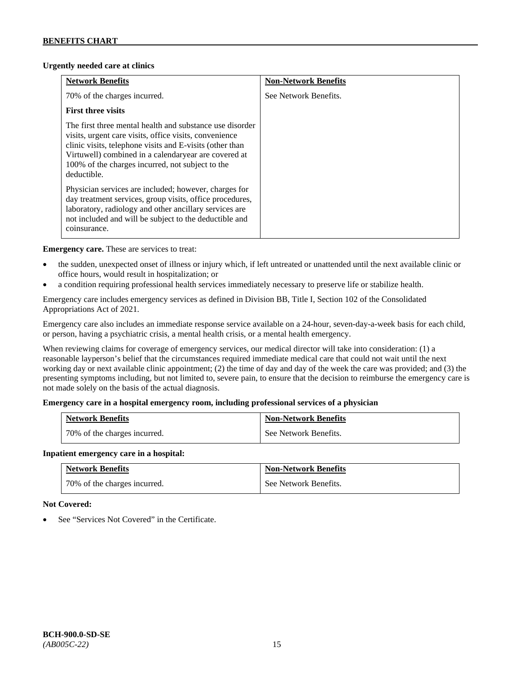# **Urgently needed care at clinics**

| <b>Network Benefits</b>                                                                                                                                                                                                                                                                                   | <b>Non-Network Benefits</b> |
|-----------------------------------------------------------------------------------------------------------------------------------------------------------------------------------------------------------------------------------------------------------------------------------------------------------|-----------------------------|
| 70% of the charges incurred.                                                                                                                                                                                                                                                                              | See Network Benefits.       |
| <b>First three visits</b>                                                                                                                                                                                                                                                                                 |                             |
| The first three mental health and substance use disorder<br>visits, urgent care visits, office visits, convenience<br>clinic visits, telephone visits and E-visits (other than<br>Virtuwell) combined in a calendaryear are covered at<br>100% of the charges incurred, not subject to the<br>deductible. |                             |
| Physician services are included; however, charges for<br>day treatment services, group visits, office procedures,<br>laboratory, radiology and other ancillary services are<br>not included and will be subject to the deductible and<br>coinsurance.                                                     |                             |

**Emergency care.** These are services to treat:

- the sudden, unexpected onset of illness or injury which, if left untreated or unattended until the next available clinic or office hours, would result in hospitalization; or
- a condition requiring professional health services immediately necessary to preserve life or stabilize health.

Emergency care includes emergency services as defined in Division BB, Title I, Section 102 of the Consolidated Appropriations Act of 2021.

Emergency care also includes an immediate response service available on a 24-hour, seven-day-a-week basis for each child, or person, having a psychiatric crisis, a mental health crisis, or a mental health emergency.

When reviewing claims for coverage of emergency services, our medical director will take into consideration: (1) a reasonable layperson's belief that the circumstances required immediate medical care that could not wait until the next working day or next available clinic appointment; (2) the time of day and day of the week the care was provided; and (3) the presenting symptoms including, but not limited to, severe pain, to ensure that the decision to reimburse the emergency care is not made solely on the basis of the actual diagnosis.

# **Emergency care in a hospital emergency room, including professional services of a physician**

| <b>Network Benefits</b>      | <b>Non-Network Benefits</b> |
|------------------------------|-----------------------------|
| 70% of the charges incurred. | See Network Benefits.       |

# **Inpatient emergency care in a hospital:**

| <b>Network Benefits</b>      | <b>Non-Network Benefits</b> |
|------------------------------|-----------------------------|
| 70% of the charges incurred. | See Network Benefits.       |

# **Not Covered:**

See "Services Not Covered" in the Certificate.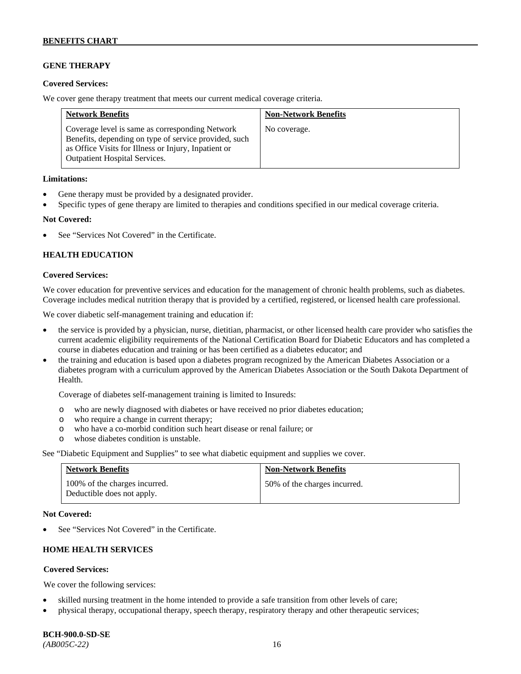# **GENE THERAPY**

### **Covered Services:**

We cover gene therapy treatment that meets our current medical coverage criteria.

| <b>Network Benefits</b>                                                                                                                                                                                  | <b>Non-Network Benefits</b> |
|----------------------------------------------------------------------------------------------------------------------------------------------------------------------------------------------------------|-----------------------------|
| Coverage level is same as corresponding Network<br>Benefits, depending on type of service provided, such<br>as Office Visits for Illness or Injury, Inpatient or<br><b>Outpatient Hospital Services.</b> | No coverage.                |

### **Limitations:**

- Gene therapy must be provided by a designated provider.
- Specific types of gene therapy are limited to therapies and conditions specified in our medical coverage criteria.

### **Not Covered:**

See "Services Not Covered" in the Certificate.

# **HEALTH EDUCATION**

### **Covered Services:**

We cover education for preventive services and education for the management of chronic health problems, such as diabetes. Coverage includes medical nutrition therapy that is provided by a certified, registered, or licensed health care professional.

We cover diabetic self-management training and education if:

- the service is provided by a physician, nurse, dietitian, pharmacist, or other licensed health care provider who satisfies the current academic eligibility requirements of the National Certification Board for Diabetic Educators and has completed a course in diabetes education and training or has been certified as a diabetes educator; and
- the training and education is based upon a diabetes program recognized by the American Diabetes Association or a diabetes program with a curriculum approved by the American Diabetes Association or the South Dakota Department of Health.

Coverage of diabetes self-management training is limited to Insureds:

- o who are newly diagnosed with diabetes or have received no prior diabetes education;
- o who require a change in current therapy;<br>o who have a co-morbid condition such heal
- who have a co-morbid condition such heart disease or renal failure; or
- o whose diabetes condition is unstable.

See "Diabetic Equipment and Supplies" to see what diabetic equipment and supplies we cover.

| <b>Network Benefits</b>                                     | <b>Non-Network Benefits</b>  |
|-------------------------------------------------------------|------------------------------|
| 100% of the charges incurred.<br>Deductible does not apply. | 50% of the charges incurred. |

#### **Not Covered:**

See "Services Not Covered" in the Certificate.

# **HOME HEALTH SERVICES**

# **Covered Services:**

We cover the following services:

- skilled nursing treatment in the home intended to provide a safe transition from other levels of care;
- physical therapy, occupational therapy, speech therapy, respiratory therapy and other therapeutic services;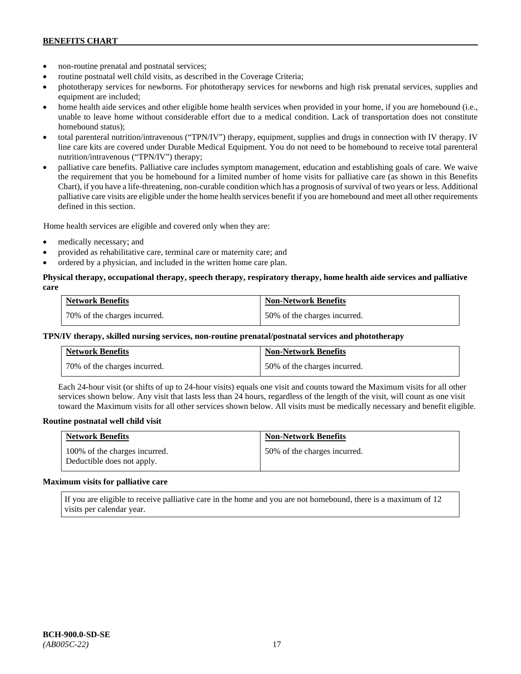- non-routine prenatal and postnatal services;
- routine postnatal well child visits, as described in the Coverage Criteria;
- phototherapy services for newborns. For phototherapy services for newborns and high risk prenatal services, supplies and equipment are included;
- home health aide services and other eligible home health services when provided in your home, if you are homebound (i.e., unable to leave home without considerable effort due to a medical condition. Lack of transportation does not constitute homebound status);
- total parenteral nutrition/intravenous ("TPN/IV") therapy, equipment, supplies and drugs in connection with IV therapy. IV line care kits are covered under Durable Medical Equipment. You do not need to be homebound to receive total parenteral nutrition/intravenous ("TPN/IV") therapy;
- palliative care benefits. Palliative care includes symptom management, education and establishing goals of care. We waive the requirement that you be homebound for a limited number of home visits for palliative care (as shown in this Benefits Chart), if you have a life-threatening, non-curable condition which has a prognosis of survival of two years or less. Additional palliative care visits are eligible under the home health services benefit if you are homebound and meet all other requirements defined in this section.

Home health services are eligible and covered only when they are:

- medically necessary; and
- provided as rehabilitative care, terminal care or maternity care; and
- ordered by a physician, and included in the written home care plan.

# **Physical therapy, occupational therapy, speech therapy, respiratory therapy, home health aide services and palliative care**

| <b>Network Benefits</b>      | <b>Non-Network Benefits</b>  |
|------------------------------|------------------------------|
| 70% of the charges incurred. | 50% of the charges incurred. |

### **TPN/IV therapy, skilled nursing services, non-routine prenatal/postnatal services and phototherapy**

| <b>Network Benefits</b>        | <b>Non-Network Benefits</b>  |
|--------------------------------|------------------------------|
| 1 70% of the charges incurred. | 50% of the charges incurred. |

Each 24-hour visit (or shifts of up to 24-hour visits) equals one visit and counts toward the Maximum visits for all other services shown below. Any visit that lasts less than 24 hours, regardless of the length of the visit, will count as one visit toward the Maximum visits for all other services shown below. All visits must be medically necessary and benefit eligible.

#### **Routine postnatal well child visit**

| <b>Network Benefits</b>                                     | <b>Non-Network Benefits</b>  |
|-------------------------------------------------------------|------------------------------|
| 100% of the charges incurred.<br>Deductible does not apply. | 50% of the charges incurred. |

#### **Maximum visits for palliative care**

If you are eligible to receive palliative care in the home and you are not homebound, there is a maximum of 12 visits per calendar year.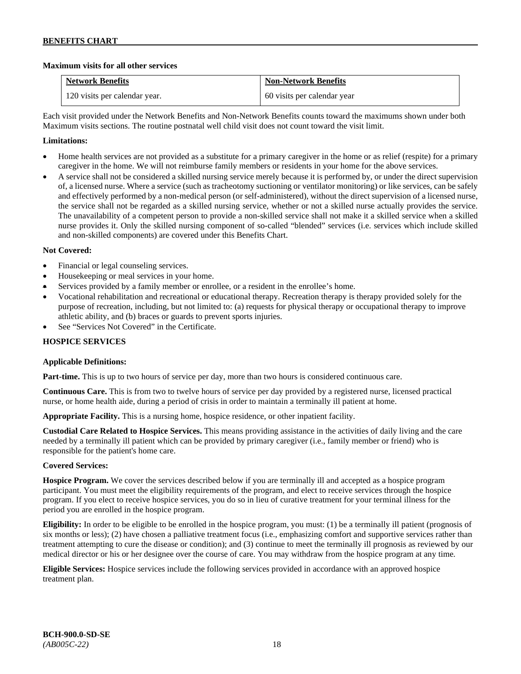# **Maximum visits for all other services**

| <b>Network Benefits</b>       | <b>Non-Network Benefits</b> |
|-------------------------------|-----------------------------|
| 120 visits per calendar year. | 60 visits per calendar year |

Each visit provided under the Network Benefits and Non-Network Benefits counts toward the maximums shown under both Maximum visits sections. The routine postnatal well child visit does not count toward the visit limit.

# **Limitations:**

- Home health services are not provided as a substitute for a primary caregiver in the home or as relief (respite) for a primary caregiver in the home. We will not reimburse family members or residents in your home for the above services.
- A service shall not be considered a skilled nursing service merely because it is performed by, or under the direct supervision of, a licensed nurse. Where a service (such as tracheotomy suctioning or ventilator monitoring) or like services, can be safely and effectively performed by a non-medical person (or self-administered), without the direct supervision of a licensed nurse, the service shall not be regarded as a skilled nursing service, whether or not a skilled nurse actually provides the service. The unavailability of a competent person to provide a non-skilled service shall not make it a skilled service when a skilled nurse provides it. Only the skilled nursing component of so-called "blended" services (i.e. services which include skilled and non-skilled components) are covered under this Benefits Chart.

# **Not Covered:**

- Financial or legal counseling services.
- Housekeeping or meal services in your home.
- Services provided by a family member or enrollee, or a resident in the enrollee's home.
- Vocational rehabilitation and recreational or educational therapy. Recreation therapy is therapy provided solely for the purpose of recreation, including, but not limited to: (a) requests for physical therapy or occupational therapy to improve athletic ability, and (b) braces or guards to prevent sports injuries.
- See "Services Not Covered" in the Certificate.

# **HOSPICE SERVICES**

# **Applicable Definitions:**

**Part-time.** This is up to two hours of service per day, more than two hours is considered continuous care.

**Continuous Care.** This is from two to twelve hours of service per day provided by a registered nurse, licensed practical nurse, or home health aide, during a period of crisis in order to maintain a terminally ill patient at home.

**Appropriate Facility.** This is a nursing home, hospice residence, or other inpatient facility.

**Custodial Care Related to Hospice Services.** This means providing assistance in the activities of daily living and the care needed by a terminally ill patient which can be provided by primary caregiver (i.e., family member or friend) who is responsible for the patient's home care.

# **Covered Services:**

**Hospice Program.** We cover the services described below if you are terminally ill and accepted as a hospice program participant. You must meet the eligibility requirements of the program, and elect to receive services through the hospice program. If you elect to receive hospice services, you do so in lieu of curative treatment for your terminal illness for the period you are enrolled in the hospice program.

**Eligibility:** In order to be eligible to be enrolled in the hospice program, you must: (1) be a terminally ill patient (prognosis of six months or less); (2) have chosen a palliative treatment focus (i.e., emphasizing comfort and supportive services rather than treatment attempting to cure the disease or condition); and (3) continue to meet the terminally ill prognosis as reviewed by our medical director or his or her designee over the course of care. You may withdraw from the hospice program at any time.

**Eligible Services:** Hospice services include the following services provided in accordance with an approved hospice treatment plan.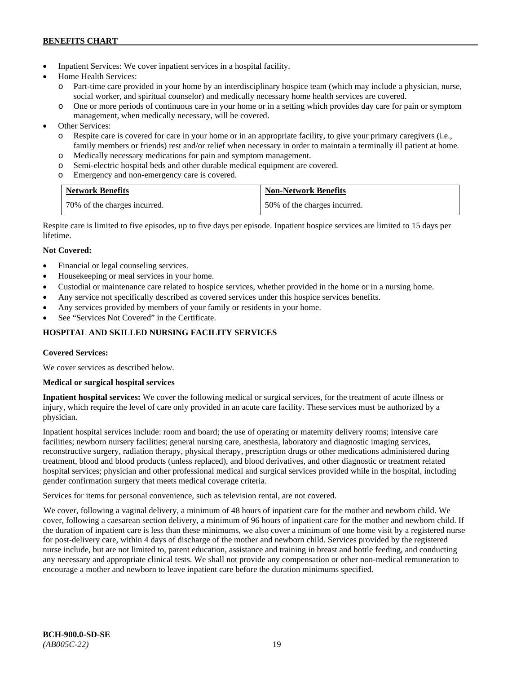- Inpatient Services: We cover inpatient services in a hospital facility.
- Home Health Services:
	- o Part-time care provided in your home by an interdisciplinary hospice team (which may include a physician, nurse, social worker, and spiritual counselor) and medically necessary home health services are covered.
	- o One or more periods of continuous care in your home or in a setting which provides day care for pain or symptom management, when medically necessary, will be covered.
- Other Services:
	- o Respite care is covered for care in your home or in an appropriate facility, to give your primary caregivers (i.e., family members or friends) rest and/or relief when necessary in order to maintain a terminally ill patient at home*.*
	- o Medically necessary medications for pain and symptom management.
	- o Semi-electric hospital beds and other durable medical equipment are covered.
	- o Emergency and non-emergency care is covered.

| <b>Network Benefits</b>      | <b>Non-Network Benefits</b>  |
|------------------------------|------------------------------|
| 70% of the charges incurred. | 50% of the charges incurred. |

Respite care is limited to five episodes, up to five days per episode. Inpatient hospice services are limited to 15 days per lifetime.

# **Not Covered:**

- Financial or legal counseling services.
- Housekeeping or meal services in your home.
- Custodial or maintenance care related to hospice services, whether provided in the home or in a nursing home.
- Any service not specifically described as covered services under this hospice services benefits.
- Any services provided by members of your family or residents in your home.
- See "Services Not Covered" in the Certificate.

# **HOSPITAL AND SKILLED NURSING FACILITY SERVICES**

# **Covered Services:**

We cover services as described below.

# **Medical or surgical hospital services**

**Inpatient hospital services:** We cover the following medical or surgical services, for the treatment of acute illness or injury, which require the level of care only provided in an acute care facility. These services must be authorized by a physician.

Inpatient hospital services include: room and board; the use of operating or maternity delivery rooms; intensive care facilities; newborn nursery facilities; general nursing care, anesthesia, laboratory and diagnostic imaging services, reconstructive surgery, radiation therapy, physical therapy, prescription drugs or other medications administered during treatment, blood and blood products (unless replaced), and blood derivatives, and other diagnostic or treatment related hospital services; physician and other professional medical and surgical services provided while in the hospital, including gender confirmation surgery that meets medical coverage criteria.

Services for items for personal convenience, such as television rental, are not covered.

We cover, following a vaginal delivery, a minimum of 48 hours of inpatient care for the mother and newborn child. We cover, following a caesarean section delivery, a minimum of 96 hours of inpatient care for the mother and newborn child. If the duration of inpatient care is less than these minimums, we also cover a minimum of one home visit by a registered nurse for post-delivery care, within 4 days of discharge of the mother and newborn child. Services provided by the registered nurse include, but are not limited to, parent education, assistance and training in breast and bottle feeding, and conducting any necessary and appropriate clinical tests. We shall not provide any compensation or other non-medical remuneration to encourage a mother and newborn to leave inpatient care before the duration minimums specified.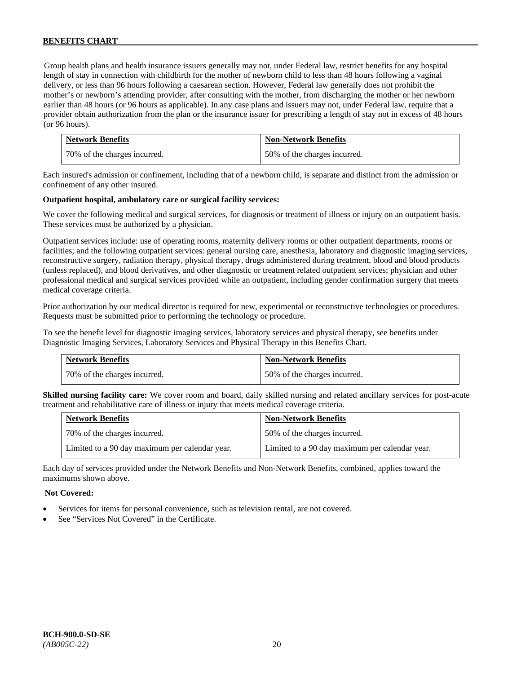Group health plans and health insurance issuers generally may not, under Federal law, restrict benefits for any hospital length of stay in connection with childbirth for the mother of newborn child to less than 48 hours following a vaginal delivery, or less than 96 hours following a caesarean section. However, Federal law generally does not prohibit the mother's or newborn's attending provider, after consulting with the mother, from discharging the mother or her newborn earlier than 48 hours (or 96 hours as applicable). In any case plans and issuers may not, under Federal law, require that a provider obtain authorization from the plan or the insurance issuer for prescribing a length of stay not in excess of 48 hours (or 96 hours).

| <b>Network Benefits</b>      | <b>Non-Network Benefits</b>  |
|------------------------------|------------------------------|
| 70% of the charges incurred. | 50% of the charges incurred. |

Each insured's admission or confinement, including that of a newborn child, is separate and distinct from the admission or confinement of any other insured.

### **Outpatient hospital, ambulatory care or surgical facility services:**

We cover the following medical and surgical services, for diagnosis or treatment of illness or injury on an outpatient basis. These services must be authorized by a physician.

Outpatient services include: use of operating rooms, maternity delivery rooms or other outpatient departments, rooms or facilities; and the following outpatient services: general nursing care, anesthesia, laboratory and diagnostic imaging services, reconstructive surgery, radiation therapy, physical therapy, drugs administered during treatment, blood and blood products (unless replaced), and blood derivatives, and other diagnostic or treatment related outpatient services; physician and other professional medical and surgical services provided while an outpatient, including gender confirmation surgery that meets medical coverage criteria.

Prior authorization by our medical director is required for new, experimental or reconstructive technologies or procedures. Requests must be submitted prior to performing the technology or procedure.

To see the benefit level for diagnostic imaging services, laboratory services and physical therapy, see benefits under Diagnostic Imaging Services, Laboratory Services and Physical Therapy in this Benefits Chart.

| <b>Network Benefits</b>      | <b>Non-Network Benefits</b>  |
|------------------------------|------------------------------|
| 70% of the charges incurred. | 50% of the charges incurred. |

**Skilled nursing facility care:** We cover room and board, daily skilled nursing and related ancillary services for post-acute treatment and rehabilitative care of illness or injury that meets medical coverage criteria.

| <b>Network Benefits</b>                        | <b>Non-Network Benefits</b>                    |
|------------------------------------------------|------------------------------------------------|
| 70% of the charges incurred.                   | 50% of the charges incurred.                   |
| Limited to a 90 day maximum per calendar year. | Limited to a 90 day maximum per calendar year. |

Each day of services provided under the Network Benefits and Non-Network Benefits, combined, applies toward the maximums shown above.

#### **Not Covered:**

- Services for items for personal convenience, such as television rental, are not covered.
- See "Services Not Covered" in the Certificate.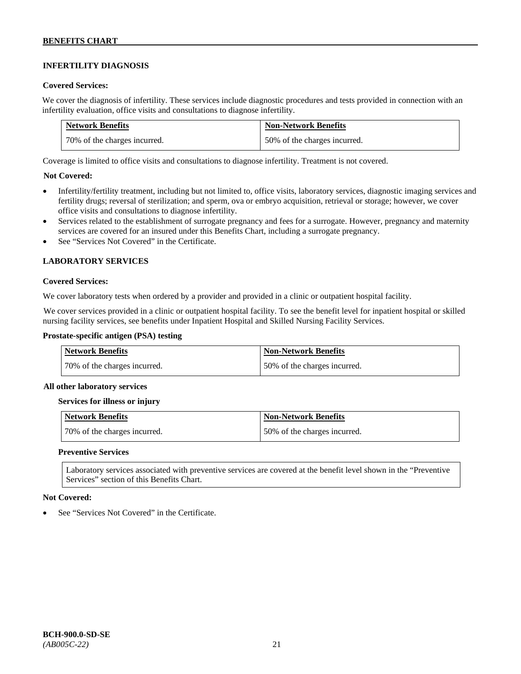# **INFERTILITY DIAGNOSIS**

### **Covered Services:**

We cover the diagnosis of infertility. These services include diagnostic procedures and tests provided in connection with an infertility evaluation, office visits and consultations to diagnose infertility.

| <b>Network Benefits</b>      | <b>Non-Network Benefits</b>  |
|------------------------------|------------------------------|
| 70% of the charges incurred. | 50% of the charges incurred. |

Coverage is limited to office visits and consultations to diagnose infertility. Treatment is not covered.

# **Not Covered:**

- Infertility/fertility treatment, including but not limited to, office visits, laboratory services, diagnostic imaging services and fertility drugs; reversal of sterilization; and sperm, ova or embryo acquisition, retrieval or storage; however, we cover office visits and consultations to diagnose infertility.
- Services related to the establishment of surrogate pregnancy and fees for a surrogate. However, pregnancy and maternity services are covered for an insured under this Benefits Chart, including a surrogate pregnancy.
- See "Services Not Covered" in the Certificate.

# **LABORATORY SERVICES**

#### **Covered Services:**

We cover laboratory tests when ordered by a provider and provided in a clinic or outpatient hospital facility.

We cover services provided in a clinic or outpatient hospital facility. To see the benefit level for inpatient hospital or skilled nursing facility services, see benefits under Inpatient Hospital and Skilled Nursing Facility Services.

### **Prostate-specific antigen (PSA) testing**

| <b>Network Benefits</b>      | <b>Non-Network Benefits</b>  |
|------------------------------|------------------------------|
| 70% of the charges incurred. | 50% of the charges incurred. |

#### **All other laboratory services**

#### **Services for illness or injury**

| Network Benefits             | Non-Network Benefits         |
|------------------------------|------------------------------|
| 70% of the charges incurred. | 50% of the charges incurred. |

### **Preventive Services**

Laboratory services associated with preventive services are covered at the benefit level shown in the "Preventive Services" section of this Benefits Chart.

#### **Not Covered:**

See "Services Not Covered" in the Certificate.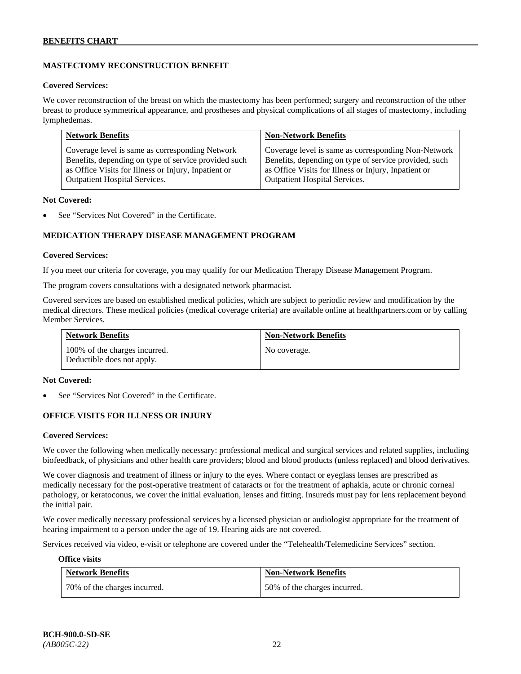# **MASTECTOMY RECONSTRUCTION BENEFIT**

#### **Covered Services:**

We cover reconstruction of the breast on which the mastectomy has been performed; surgery and reconstruction of the other breast to produce symmetrical appearance, and prostheses and physical complications of all stages of mastectomy, including lymphedemas.

| <b>Network Benefits</b>                              | <b>Non-Network Benefits</b>                           |
|------------------------------------------------------|-------------------------------------------------------|
| Coverage level is same as corresponding Network      | Coverage level is same as corresponding Non-Network   |
| Benefits, depending on type of service provided such | Benefits, depending on type of service provided, such |
| as Office Visits for Illness or Injury, Inpatient or | as Office Visits for Illness or Injury, Inpatient or  |
| <b>Outpatient Hospital Services.</b>                 | Outpatient Hospital Services.                         |

#### **Not Covered:**

See "Services Not Covered" in the Certificate.

# **MEDICATION THERAPY DISEASE MANAGEMENT PROGRAM**

### **Covered Services:**

If you meet our criteria for coverage, you may qualify for our Medication Therapy Disease Management Program.

The program covers consultations with a designated network pharmacist.

Covered services are based on established medical policies, which are subject to periodic review and modification by the medical directors. These medical policies (medical coverage criteria) are available online at [healthpartners.com](http://www.healthpartners.com/) or by calling Member Services.

| <b>Network Benefits</b>                                     | <b>Non-Network Benefits</b> |
|-------------------------------------------------------------|-----------------------------|
| 100% of the charges incurred.<br>Deductible does not apply. | No coverage.                |

#### **Not Covered:**

See "Services Not Covered" in the Certificate.

# **OFFICE VISITS FOR ILLNESS OR INJURY**

#### **Covered Services:**

We cover the following when medically necessary: professional medical and surgical services and related supplies, including biofeedback, of physicians and other health care providers; blood and blood products (unless replaced) and blood derivatives.

We cover diagnosis and treatment of illness or injury to the eyes. Where contact or eyeglass lenses are prescribed as medically necessary for the post-operative treatment of cataracts or for the treatment of aphakia, acute or chronic corneal pathology, or keratoconus, we cover the initial evaluation, lenses and fitting. Insureds must pay for lens replacement beyond the initial pair.

We cover medically necessary professional services by a licensed physician or audiologist appropriate for the treatment of hearing impairment to a person under the age of 19. Hearing aids are not covered.

Services received via video, e-visit or telephone are covered under the "Telehealth/Telemedicine Services" section.

#### **Office visits**

| <b>Network Benefits</b>      | <b>Non-Network Benefits</b>  |
|------------------------------|------------------------------|
| 70% of the charges incurred. | 50% of the charges incurred. |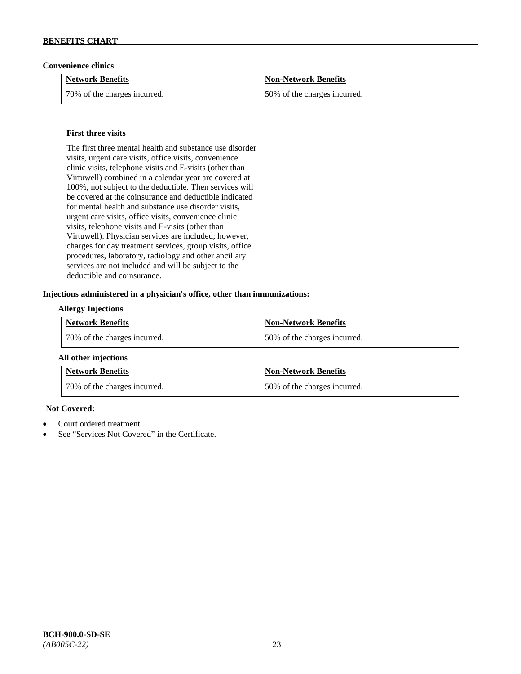# **Convenience clinics**

| <b>Network Benefits</b>      | <b>Non-Network Benefits</b>  |
|------------------------------|------------------------------|
| 70% of the charges incurred. | 50% of the charges incurred. |

# **First three visits**

The first three mental health and substance use disorder visits, urgent care visits, office visits, convenience clinic visits, telephone visits and E-visits (other than Virtuwell) combined in a calendar year are covered at 100%, not subject to the deductible. Then services will be covered at the coinsurance and deductible indicated for mental health and substance use disorder visits, urgent care visits, office visits, convenience clinic visits, telephone visits and E-visits (other than Virtuwell). Physician services are included; however, charges for day treatment services, group visits, office procedures, laboratory, radiology and other ancillary services are not included and will be subject to the deductible and coinsurance.

# **Injections administered in a physician's office, other than immunizations:**

### **Allergy Injections**

| <b>Network Benefits</b>        | <b>Non-Network Benefits</b>  |
|--------------------------------|------------------------------|
| 1 70% of the charges incurred. | 50% of the charges incurred. |

# **All other injections**

| <b>Network Benefits</b>        | <b>Non-Network Benefits</b>  |
|--------------------------------|------------------------------|
| 1 70% of the charges incurred. | 50% of the charges incurred. |

# **Not Covered:**

- Court ordered treatment.
- See "Services Not Covered" in the Certificate.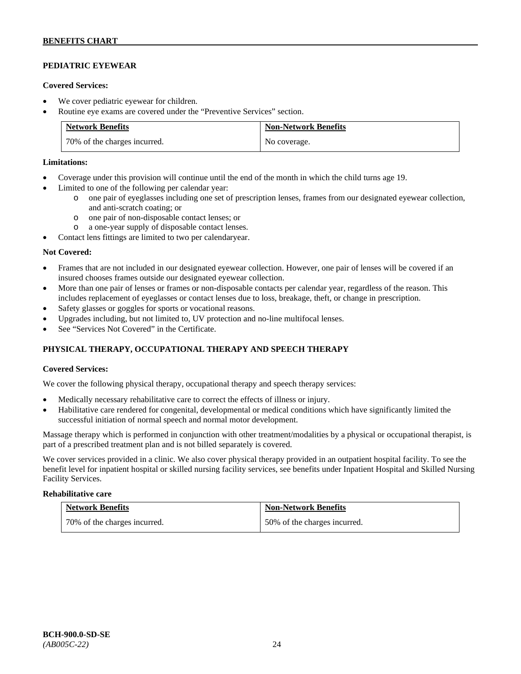# **PEDIATRIC EYEWEAR**

### **Covered Services:**

- We cover pediatric eyewear for children.
- Routine eye exams are covered under the "Preventive Services" section.

| <b>Network Benefits</b>      | <b>Non-Network Benefits</b> |
|------------------------------|-----------------------------|
| 70% of the charges incurred. | No coverage.                |

### **Limitations:**

- Coverage under this provision will continue until the end of the month in which the child turns age 19.
- Limited to one of the following per calendar year:
	- o one pair of eyeglasses including one set of prescription lenses, frames from our designated eyewear collection, and anti-scratch coating; or
	- o one pair of non-disposable contact lenses; or
	- o a one-year supply of disposable contact lenses.
- Contact lens fittings are limited to two per calendaryear.

### **Not Covered:**

- Frames that are not included in our designated eyewear collection. However, one pair of lenses will be covered if an insured chooses frames outside our designated eyewear collection.
- More than one pair of lenses or frames or non-disposable contacts per calendar year, regardless of the reason. This includes replacement of eyeglasses or contact lenses due to loss, breakage, theft, or change in prescription.
- Safety glasses or goggles for sports or vocational reasons.
- Upgrades including, but not limited to, UV protection and no-line multifocal lenses.
- See "Services Not Covered" in the Certificate.

# **PHYSICAL THERAPY, OCCUPATIONAL THERAPY AND SPEECH THERAPY**

# **Covered Services:**

We cover the following physical therapy, occupational therapy and speech therapy services:

- Medically necessary rehabilitative care to correct the effects of illness or injury.
- Habilitative care rendered for congenital, developmental or medical conditions which have significantly limited the successful initiation of normal speech and normal motor development.

Massage therapy which is performed in conjunction with other treatment/modalities by a physical or occupational therapist, is part of a prescribed treatment plan and is not billed separately is covered.

We cover services provided in a clinic. We also cover physical therapy provided in an outpatient hospital facility. To see the benefit level for inpatient hospital or skilled nursing facility services, see benefits under Inpatient Hospital and Skilled Nursing Facility Services.

#### **Rehabilitative care**

| <b>Network Benefits</b>      | <b>Non-Network Benefits</b>  |
|------------------------------|------------------------------|
| 70% of the charges incurred. | 50% of the charges incurred. |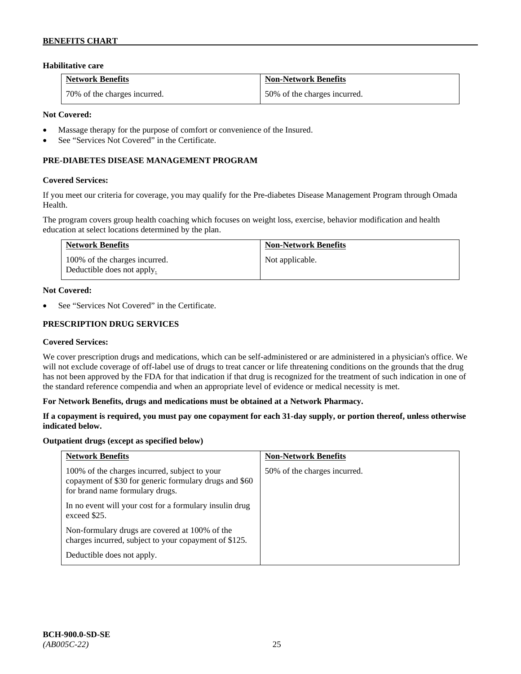# **Habilitative care**

| <b>Network Benefits</b>      | Non-Network Benefits         |
|------------------------------|------------------------------|
| 70% of the charges incurred. | 50% of the charges incurred. |

### **Not Covered:**

- Massage therapy for the purpose of comfort or convenience of the Insured.
- See "Services Not Covered" in the Certificate.

# **PRE-DIABETES DISEASE MANAGEMENT PROGRAM**

### **Covered Services:**

If you meet our criteria for coverage, you may qualify for the Pre-diabetes Disease Management Program through Omada Health.

The program covers group health coaching which focuses on weight loss, exercise, behavior modification and health education at select locations determined by the plan.

| <b>Network Benefits</b>                                     | <b>Non-Network Benefits</b> |
|-------------------------------------------------------------|-----------------------------|
| 100% of the charges incurred.<br>Deductible does not apply. | Not applicable.             |

### **Not Covered:**

See "Services Not Covered" in the Certificate.

### **PRESCRIPTION DRUG SERVICES**

#### **Covered Services:**

We cover prescription drugs and medications, which can be self-administered or are administered in a physician's office. We will not exclude coverage of off-label use of drugs to treat cancer or life threatening conditions on the grounds that the drug has not been approved by the FDA for that indication if that drug is recognized for the treatment of such indication in one of the standard reference compendia and when an appropriate level of evidence or medical necessity is met.

#### **For Network Benefits, drugs and medications must be obtained at a Network Pharmacy.**

### **If a copayment is required, you must pay one copayment for each 31-day supply, or portion thereof, unless otherwise indicated below.**

#### **Outpatient drugs (except as specified below)**

| <b>Network Benefits</b>                                                                                                                    | <b>Non-Network Benefits</b>  |
|--------------------------------------------------------------------------------------------------------------------------------------------|------------------------------|
| 100% of the charges incurred, subject to your<br>copayment of \$30 for generic formulary drugs and \$60<br>for brand name formulary drugs. | 50% of the charges incurred. |
| In no event will your cost for a formulary insulin drug<br>exceed \$25.                                                                    |                              |
| Non-formulary drugs are covered at 100% of the<br>charges incurred, subject to your copayment of \$125.                                    |                              |
| Deductible does not apply.                                                                                                                 |                              |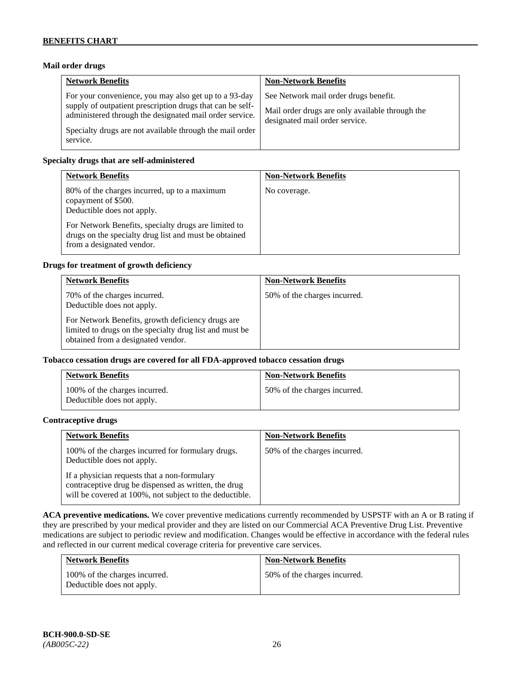# **Mail order drugs**

| <b>Network Benefits</b>                                                                                                                                                                                                                               | <b>Non-Network Benefits</b>                                                                                                |
|-------------------------------------------------------------------------------------------------------------------------------------------------------------------------------------------------------------------------------------------------------|----------------------------------------------------------------------------------------------------------------------------|
| For your convenience, you may also get up to a 93-day<br>supply of outpatient prescription drugs that can be self-<br>administered through the designated mail order service.<br>Specialty drugs are not available through the mail order<br>service. | See Network mail order drugs benefit.<br>Mail order drugs are only available through the<br>designated mail order service. |

### **Specialty drugs that are self-administered**

| <b>Network Benefits</b>                                                                                                                                                                                                                         | <b>Non-Network Benefits</b> |
|-------------------------------------------------------------------------------------------------------------------------------------------------------------------------------------------------------------------------------------------------|-----------------------------|
| 80% of the charges incurred, up to a maximum<br>copayment of \$500.<br>Deductible does not apply.<br>For Network Benefits, specialty drugs are limited to<br>drugs on the specialty drug list and must be obtained<br>from a designated vendor. | No coverage.                |

### **Drugs for treatment of growth deficiency**

| <b>Network Benefits</b>                                                                                                                            | <b>Non-Network Benefits</b>  |
|----------------------------------------------------------------------------------------------------------------------------------------------------|------------------------------|
| 70% of the charges incurred.<br>Deductible does not apply.                                                                                         | 50% of the charges incurred. |
| For Network Benefits, growth deficiency drugs are<br>limited to drugs on the specialty drug list and must be<br>obtained from a designated vendor. |                              |

## **Tobacco cessation drugs are covered for all FDA-approved tobacco cessation drugs**

| <b>Network Benefits</b>                                     | <b>Non-Network Benefits</b>  |
|-------------------------------------------------------------|------------------------------|
| 100% of the charges incurred.<br>Deductible does not apply. | 50% of the charges incurred. |

### **Contraceptive drugs**

| <b>Network Benefits</b>                                                                                                                                         | <b>Non-Network Benefits</b>  |
|-----------------------------------------------------------------------------------------------------------------------------------------------------------------|------------------------------|
| 100% of the charges incurred for formulary drugs.<br>Deductible does not apply.                                                                                 | 50% of the charges incurred. |
| If a physician requests that a non-formulary<br>contraceptive drug be dispensed as written, the drug<br>will be covered at 100%, not subject to the deductible. |                              |

**ACA preventive medications.** We cover preventive medications currently recommended by USPSTF with an A or B rating if they are prescribed by your medical provider and they are listed on our Commercial ACA Preventive Drug List. Preventive medications are subject to periodic review and modification. Changes would be effective in accordance with the federal rules and reflected in our current medical coverage criteria for preventive care services.

| <b>Network Benefits</b>                                     | <b>Non-Network Benefits</b>  |
|-------------------------------------------------------------|------------------------------|
| 100% of the charges incurred.<br>Deductible does not apply. | 50% of the charges incurred. |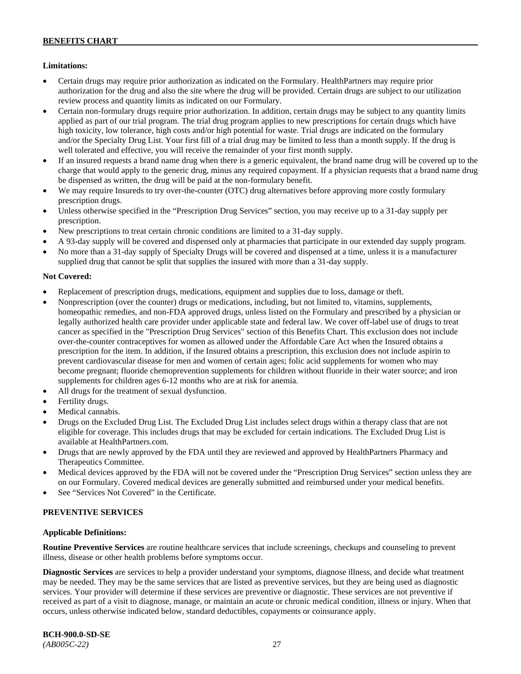# **Limitations:**

- Certain drugs may require prior authorization as indicated on the Formulary. HealthPartners may require prior authorization for the drug and also the site where the drug will be provided. Certain drugs are subject to our utilization review process and quantity limits as indicated on our Formulary.
- Certain non-formulary drugs require prior authorization. In addition, certain drugs may be subject to any quantity limits applied as part of our trial program. The trial drug program applies to new prescriptions for certain drugs which have high toxicity, low tolerance, high costs and/or high potential for waste. Trial drugs are indicated on the formulary and/or the Specialty Drug List. Your first fill of a trial drug may be limited to less than a month supply. If the drug is well tolerated and effective, you will receive the remainder of your first month supply.
- If an insured requests a brand name drug when there is a generic equivalent, the brand name drug will be covered up to the charge that would apply to the generic drug, minus any required copayment. If a physician requests that a brand name drug be dispensed as written, the drug will be paid at the non-formulary benefit.
- We may require Insureds to try over-the-counter (OTC) drug alternatives before approving more costly formulary prescription drugs.
- Unless otherwise specified in the "Prescription Drug Services" section, you may receive up to a 31-day supply per prescription.
- New prescriptions to treat certain chronic conditions are limited to a 31-day supply.
- A 93-day supply will be covered and dispensed only at pharmacies that participate in our extended day supply program.
- No more than a 31-day supply of Specialty Drugs will be covered and dispensed at a time, unless it is a manufacturer supplied drug that cannot be split that supplies the insured with more than a 31-day supply.

# **Not Covered:**

- Replacement of prescription drugs, medications, equipment and supplies due to loss, damage or theft.
- Nonprescription (over the counter) drugs or medications, including, but not limited to, vitamins, supplements, homeopathic remedies, and non-FDA approved drugs, unless listed on the Formulary and prescribed by a physician or legally authorized health care provider under applicable state and federal law. We cover off-label use of drugs to treat cancer as specified in the "Prescription Drug Services" section of this Benefits Chart. This exclusion does not include over-the-counter contraceptives for women as allowed under the Affordable Care Act when the Insured obtains a prescription for the item. In addition, if the Insured obtains a prescription, this exclusion does not include aspirin to prevent cardiovascular disease for men and women of certain ages; folic acid supplements for women who may become pregnant; fluoride chemoprevention supplements for children without fluoride in their water source; and iron supplements for children ages 6-12 months who are at risk for anemia.
- All drugs for the treatment of sexual dysfunction.
- Fertility drugs.
- Medical cannabis.
- Drugs on the Excluded Drug List. The Excluded Drug List includes select drugs within a therapy class that are not eligible for coverage. This includes drugs that may be excluded for certain indications. The Excluded Drug List is available a[t HealthPartners.com.](http://www.healthpartners.com/)
- Drugs that are newly approved by the FDA until they are reviewed and approved by HealthPartners Pharmacy and Therapeutics Committee.
- Medical devices approved by the FDA will not be covered under the "Prescription Drug Services" section unless they are on our Formulary. Covered medical devices are generally submitted and reimbursed under your medical benefits.
- See "Services Not Covered" in the Certificate.

# **PREVENTIVE SERVICES**

# **Applicable Definitions:**

**Routine Preventive Services** are routine healthcare services that include screenings, checkups and counseling to prevent illness, disease or other health problems before symptoms occur.

**Diagnostic Services** are services to help a provider understand your symptoms, diagnose illness, and decide what treatment may be needed. They may be the same services that are listed as preventive services, but they are being used as diagnostic services. Your provider will determine if these services are preventive or diagnostic. These services are not preventive if received as part of a visit to diagnose, manage, or maintain an acute or chronic medical condition, illness or injury. When that occurs, unless otherwise indicated below, standard deductibles, copayments or coinsurance apply.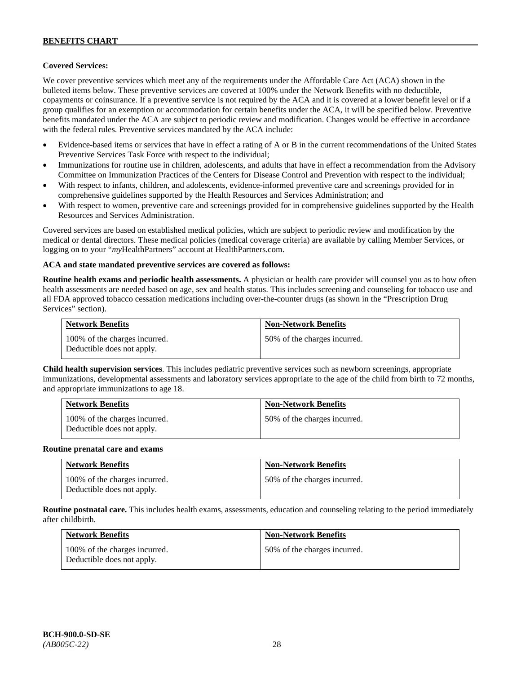# **Covered Services:**

We cover preventive services which meet any of the requirements under the Affordable Care Act (ACA) shown in the bulleted items below. These preventive services are covered at 100% under the Network Benefits with no deductible, copayments or coinsurance. If a preventive service is not required by the ACA and it is covered at a lower benefit level or if a group qualifies for an exemption or accommodation for certain benefits under the ACA, it will be specified below. Preventive benefits mandated under the ACA are subject to periodic review and modification. Changes would be effective in accordance with the federal rules. Preventive services mandated by the ACA include:

- Evidence-based items or services that have in effect a rating of A or B in the current recommendations of the United States Preventive Services Task Force with respect to the individual;
- Immunizations for routine use in children, adolescents, and adults that have in effect a recommendation from the Advisory Committee on Immunization Practices of the Centers for Disease Control and Prevention with respect to the individual;
- With respect to infants, children, and adolescents, evidence-informed preventive care and screenings provided for in comprehensive guidelines supported by the Health Resources and Services Administration; and
- With respect to women, preventive care and screenings provided for in comprehensive guidelines supported by the Health Resources and Services Administration.

Covered services are based on established medical policies, which are subject to periodic review and modification by the medical or dental directors. These medical policies (medical coverage criteria) are available by calling Member Services, or logging on to your "*my*HealthPartners" account at [HealthPartners.com.](http://www.healthpartners.com/)

#### **ACA and state mandated preventive services are covered as follows:**

**Routine health exams and periodic health assessments.** A physician or health care provider will counsel you as to how often health assessments are needed based on age, sex and health status. This includes screening and counseling for tobacco use and all FDA approved tobacco cessation medications including over-the-counter drugs (as shown in the "Prescription Drug Services" section).

| <b>Network Benefits</b>                                     | <b>Non-Network Benefits</b>  |
|-------------------------------------------------------------|------------------------------|
| 100% of the charges incurred.<br>Deductible does not apply. | 50% of the charges incurred. |

**Child health supervision services**. This includes pediatric preventive services such as newborn screenings, appropriate immunizations, developmental assessments and laboratory services appropriate to the age of the child from birth to 72 months, and appropriate immunizations to age 18.

| <b>Network Benefits</b>                                     | <b>Non-Network Benefits</b>  |
|-------------------------------------------------------------|------------------------------|
| 100% of the charges incurred.<br>Deductible does not apply. | 50% of the charges incurred. |

#### **Routine prenatal care and exams**

| <b>Network Benefits</b>                                     | <b>Non-Network Benefits</b>  |
|-------------------------------------------------------------|------------------------------|
| 100% of the charges incurred.<br>Deductible does not apply. | 50% of the charges incurred. |

**Routine postnatal care.** This includes health exams, assessments, education and counseling relating to the period immediately after childbirth.

| <b>Network Benefits</b>                                     | <b>Non-Network Benefits</b>  |
|-------------------------------------------------------------|------------------------------|
| 100% of the charges incurred.<br>Deductible does not apply. | 50% of the charges incurred. |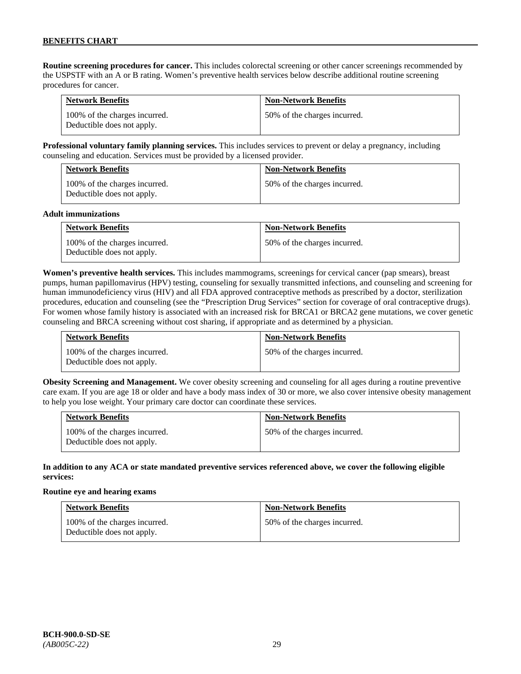**Routine screening procedures for cancer.** This includes colorectal screening or other cancer screenings recommended by the USPSTF with an A or B rating. Women's preventive health services below describe additional routine screening procedures for cancer.

| <b>Network Benefits</b>                                     | <b>Non-Network Benefits</b>  |
|-------------------------------------------------------------|------------------------------|
| 100% of the charges incurred.<br>Deductible does not apply. | 50% of the charges incurred. |

**Professional voluntary family planning services.** This includes services to prevent or delay a pregnancy, including counseling and education. Services must be provided by a licensed provider.

| <b>Network Benefits</b>                                     | <b>Non-Network Benefits</b>  |
|-------------------------------------------------------------|------------------------------|
| 100% of the charges incurred.<br>Deductible does not apply. | 50% of the charges incurred. |

#### **Adult immunizations**

| <b>Network Benefits</b>                                     | <b>Non-Network Benefits</b>  |
|-------------------------------------------------------------|------------------------------|
| 100% of the charges incurred.<br>Deductible does not apply. | 50% of the charges incurred. |

**Women's preventive health services.** This includes mammograms, screenings for cervical cancer (pap smears), breast pumps, human papillomavirus (HPV) testing, counseling for sexually transmitted infections, and counseling and screening for human immunodeficiency virus (HIV) and all FDA approved contraceptive methods as prescribed by a doctor, sterilization procedures, education and counseling (see the "Prescription Drug Services" section for coverage of oral contraceptive drugs). For women whose family history is associated with an increased risk for BRCA1 or BRCA2 gene mutations, we cover genetic counseling and BRCA screening without cost sharing, if appropriate and as determined by a physician.

| <b>Network Benefits</b>                                     | <b>Non-Network Benefits</b>  |
|-------------------------------------------------------------|------------------------------|
| 100% of the charges incurred.<br>Deductible does not apply. | 50% of the charges incurred. |

**Obesity Screening and Management.** We cover obesity screening and counseling for all ages during a routine preventive care exam. If you are age 18 or older and have a body mass index of 30 or more, we also cover intensive obesity management to help you lose weight. Your primary care doctor can coordinate these services.

| <b>Network Benefits</b>                                     | <b>Non-Network Benefits</b>  |
|-------------------------------------------------------------|------------------------------|
| 100% of the charges incurred.<br>Deductible does not apply. | 50% of the charges incurred. |

### **In addition to any ACA or state mandated preventive services referenced above, we cover the following eligible services:**

#### **Routine eye and hearing exams**

| <b>Network Benefits</b>                                     | <b>Non-Network Benefits</b>  |
|-------------------------------------------------------------|------------------------------|
| 100% of the charges incurred.<br>Deductible does not apply. | 50% of the charges incurred. |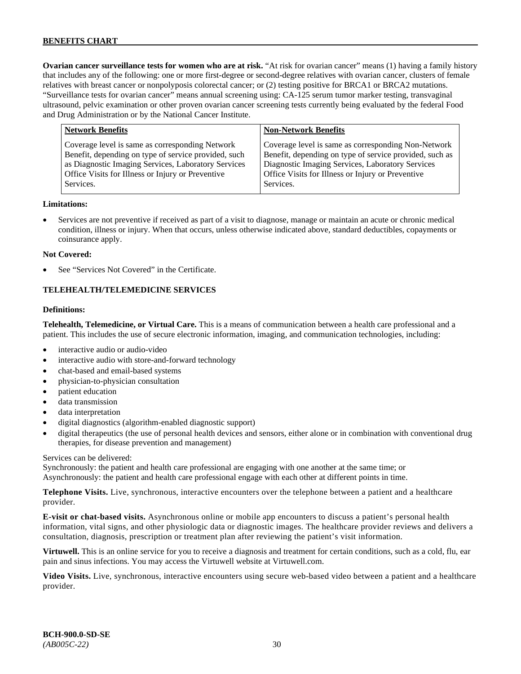**Ovarian cancer surveillance tests for women who are at risk.** "At risk for ovarian cancer" means (1) having a family history that includes any of the following: one or more first-degree or second-degree relatives with ovarian cancer, clusters of female relatives with breast cancer or nonpolyposis colorectal cancer; or (2) testing positive for BRCA1 or BRCA2 mutations. "Surveillance tests for ovarian cancer" means annual screening using: CA-125 serum tumor marker testing, transvaginal ultrasound, pelvic examination or other proven ovarian cancer screening tests currently being evaluated by the federal Food and Drug Administration or by the National Cancer Institute.

| <b>Network Benefits</b>                                                                                                                                                                                                          | <b>Non-Network Benefits</b>                                                                                                                                                                                                          |
|----------------------------------------------------------------------------------------------------------------------------------------------------------------------------------------------------------------------------------|--------------------------------------------------------------------------------------------------------------------------------------------------------------------------------------------------------------------------------------|
| Coverage level is same as corresponding Network<br>Benefit, depending on type of service provided, such<br>as Diagnostic Imaging Services, Laboratory Services<br>Office Visits for Illness or Injury or Preventive<br>Services. | Coverage level is same as corresponding Non-Network<br>Benefit, depending on type of service provided, such as<br>Diagnostic Imaging Services, Laboratory Services<br>Office Visits for Illness or Injury or Preventive<br>Services. |
|                                                                                                                                                                                                                                  |                                                                                                                                                                                                                                      |

### **Limitations:**

• Services are not preventive if received as part of a visit to diagnose, manage or maintain an acute or chronic medical condition, illness or injury. When that occurs, unless otherwise indicated above, standard deductibles, copayments or coinsurance apply.

#### **Not Covered:**

See "Services Not Covered" in the Certificate.

# **TELEHEALTH/TELEMEDICINE SERVICES**

#### **Definitions:**

**Telehealth, Telemedicine, or Virtual Care.** This is a means of communication between a health care professional and a patient. This includes the use of secure electronic information, imaging, and communication technologies, including:

- interactive audio or audio-video
- interactive audio with store-and-forward technology
- chat-based and email-based systems
- physician-to-physician consultation
- patient education
- data transmission
- data interpretation
- digital diagnostics (algorithm-enabled diagnostic support)
- digital therapeutics (the use of personal health devices and sensors, either alone or in combination with conventional drug therapies, for disease prevention and management)

#### Services can be delivered:

Synchronously: the patient and health care professional are engaging with one another at the same time; or Asynchronously: the patient and health care professional engage with each other at different points in time.

**Telephone Visits.** Live, synchronous, interactive encounters over the telephone between a patient and a healthcare provider.

**E-visit or chat-based visits.** Asynchronous online or mobile app encounters to discuss a patient's personal health information, vital signs, and other physiologic data or diagnostic images. The healthcare provider reviews and delivers a consultation, diagnosis, prescription or treatment plan after reviewing the patient's visit information.

**Virtuwell.** This is an online service for you to receive a diagnosis and treatment for certain conditions, such as a cold, flu, ear pain and sinus infections. You may access the Virtuwell website at [Virtuwell.com.](https://www.virtuwell.com/)

**Video Visits.** Live, synchronous, interactive encounters using secure web-based video between a patient and a healthcare provider.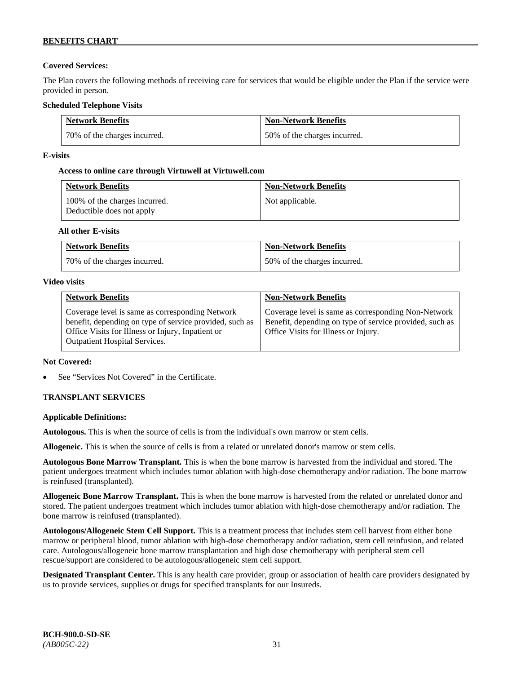# **Covered Services:**

The Plan covers the following methods of receiving care for services that would be eligible under the Plan if the service were provided in person.

# **Scheduled Telephone Visits**

| <b>Network Benefits</b>      | <b>Non-Network Benefits</b>  |
|------------------------------|------------------------------|
| 70% of the charges incurred. | 50% of the charges incurred. |

# **E-visits**

# **Access to online care through Virtuwell at [Virtuwell.com](http://www.virtuwell.com/)**

| <b>Network Benefits</b>                                    | <b>Non-Network Benefits</b> |
|------------------------------------------------------------|-----------------------------|
| 100% of the charges incurred.<br>Deductible does not apply | Not applicable.             |

# **All other E-visits**

| <b>Network Benefits</b>      | <b>Non-Network Benefits</b>  |
|------------------------------|------------------------------|
| 70% of the charges incurred. | 50% of the charges incurred. |

### **Video visits**

| <b>Network Benefits</b>                                                                                                                                                                          | <b>Non-Network Benefits</b>                                                                                                                            |
|--------------------------------------------------------------------------------------------------------------------------------------------------------------------------------------------------|--------------------------------------------------------------------------------------------------------------------------------------------------------|
| Coverage level is same as corresponding Network<br>benefit, depending on type of service provided, such as<br>Office Visits for Illness or Injury, Inpatient or<br>Outpatient Hospital Services. | Coverage level is same as corresponding Non-Network<br>Benefit, depending on type of service provided, such as<br>Office Visits for Illness or Injury. |

# **Not Covered:**

See "Services Not Covered" in the Certificate.

# **TRANSPLANT SERVICES**

# **Applicable Definitions:**

**Autologous.** This is when the source of cells is from the individual's own marrow or stem cells.

**Allogeneic.** This is when the source of cells is from a related or unrelated donor's marrow or stem cells.

**Autologous Bone Marrow Transplant.** This is when the bone marrow is harvested from the individual and stored. The patient undergoes treatment which includes tumor ablation with high-dose chemotherapy and/or radiation. The bone marrow is reinfused (transplanted).

**Allogeneic Bone Marrow Transplant.** This is when the bone marrow is harvested from the related or unrelated donor and stored. The patient undergoes treatment which includes tumor ablation with high-dose chemotherapy and/or radiation. The bone marrow is reinfused (transplanted).

**Autologous/Allogeneic Stem Cell Support.** This is a treatment process that includes stem cell harvest from either bone marrow or peripheral blood, tumor ablation with high-dose chemotherapy and/or radiation, stem cell reinfusion, and related care. Autologous/allogeneic bone marrow transplantation and high dose chemotherapy with peripheral stem cell rescue/support are considered to be autologous/allogeneic stem cell support.

**Designated Transplant Center.** This is any health care provider, group or association of health care providers designated by us to provide services, supplies or drugs for specified transplants for our Insureds.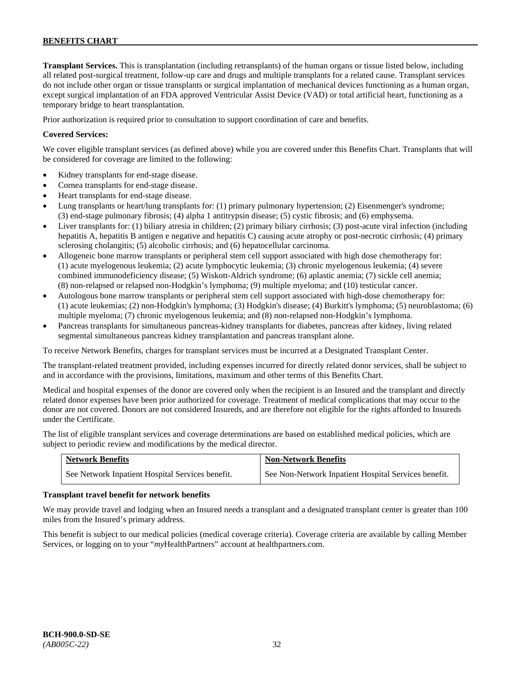**Transplant Services.** This is transplantation (including retransplants) of the human organs or tissue listed below, including all related post-surgical treatment, follow-up care and drugs and multiple transplants for a related cause. Transplant services do not include other organ or tissue transplants or surgical implantation of mechanical devices functioning as a human organ, except surgical implantation of an FDA approved Ventricular Assist Device (VAD) or total artificial heart, functioning as a temporary bridge to heart transplantation.

Prior authorization is required prior to consultation to support coordination of care and benefits.

# **Covered Services:**

We cover eligible transplant services (as defined above) while you are covered under this Benefits Chart. Transplants that will be considered for coverage are limited to the following:

- Kidney transplants for end-stage disease.
- Cornea transplants for end-stage disease.
- Heart transplants for end-stage disease.
- Lung transplants or heart/lung transplants for: (1) primary pulmonary hypertension; (2) Eisenmenger's syndrome; (3) end-stage pulmonary fibrosis; (4) alpha 1 antitrypsin disease; (5) cystic fibrosis; and (6) emphysema.
- Liver transplants for: (1) biliary atresia in children; (2) primary biliary cirrhosis; (3) post-acute viral infection (including hepatitis A, hepatitis B antigen e negative and hepatitis C) causing acute atrophy or post-necrotic cirrhosis; (4) primary sclerosing cholangitis; (5) alcoholic cirrhosis; and (6) hepatocellular carcinoma.
- Allogeneic bone marrow transplants or peripheral stem cell support associated with high dose chemotherapy for: (1) acute myelogenous leukemia; (2) acute lymphocytic leukemia; (3) chronic myelogenous leukemia; (4) severe combined immunodeficiency disease; (5) Wiskott-Aldrich syndrome; (6) aplastic anemia; (7) sickle cell anemia; (8) non-relapsed or relapsed non-Hodgkin's lymphoma; (9) multiple myeloma; and (10) testicular cancer.
- Autologous bone marrow transplants or peripheral stem cell support associated with high-dose chemotherapy for: (1) acute leukemias; (2) non-Hodgkin's lymphoma; (3) Hodgkin's disease; (4) Burkitt's lymphoma; (5) neuroblastoma; (6) multiple myeloma; (7) chronic myelogenous leukemia; and (8) non-relapsed non-Hodgkin's lymphoma.
- Pancreas transplants for simultaneous pancreas-kidney transplants for diabetes, pancreas after kidney, living related segmental simultaneous pancreas kidney transplantation and pancreas transplant alone.

To receive Network Benefits, charges for transplant services must be incurred at a Designated Transplant Center.

The transplant-related treatment provided, including expenses incurred for directly related donor services, shall be subject to and in accordance with the provisions, limitations, maximum and other terms of this Benefits Chart.

Medical and hospital expenses of the donor are covered only when the recipient is an Insured and the transplant and directly related donor expenses have been prior authorized for coverage. Treatment of medical complications that may occur to the donor are not covered. Donors are not considered Insureds, and are therefore not eligible for the rights afforded to Insureds under the Certificate.

The list of eligible transplant services and coverage determinations are based on established medical policies, which are subject to periodic review and modifications by the medical director.

| <b>Network Benefits</b>                          | <b>Non-Network Benefits</b>                          |
|--------------------------------------------------|------------------------------------------------------|
| See Network Inpatient Hospital Services benefit. | See Non-Network Inpatient Hospital Services benefit. |

#### **Transplant travel benefit for network benefits**

We may provide travel and lodging when an Insured needs a transplant and a designated transplant center is greater than 100 miles from the Insured's primary address.

This benefit is subject to our medical policies (medical coverage criteria). Coverage criteria are available by calling Member Services, or logging on to your "*my*HealthPartners" account a[t healthpartners.com.](http://www.healthpartners.com/)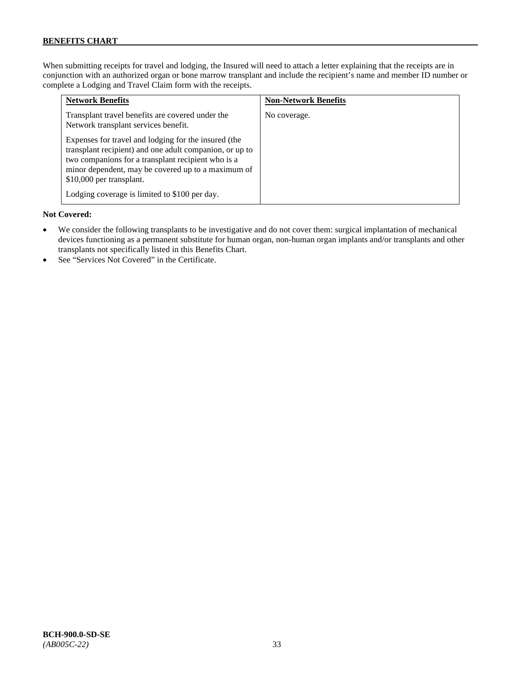When submitting receipts for travel and lodging, the Insured will need to attach a letter explaining that the receipts are in conjunction with an authorized organ or bone marrow transplant and include the recipient's name and member ID number or complete a Lodging and Travel Claim form with the receipts.

| <b>Network Benefits</b>                                                                                                                                                                                                                                 | <b>Non-Network Benefits</b> |
|---------------------------------------------------------------------------------------------------------------------------------------------------------------------------------------------------------------------------------------------------------|-----------------------------|
| Transplant travel benefits are covered under the<br>Network transplant services benefit.                                                                                                                                                                | No coverage.                |
| Expenses for travel and lodging for the insured (the<br>transplant recipient) and one adult companion, or up to<br>two companions for a transplant recipient who is a<br>minor dependent, may be covered up to a maximum of<br>\$10,000 per transplant. |                             |
| Lodging coverage is limited to \$100 per day.                                                                                                                                                                                                           |                             |

### **Not Covered:**

- We consider the following transplants to be investigative and do not cover them: surgical implantation of mechanical devices functioning as a permanent substitute for human organ, non-human organ implants and/or transplants and other transplants not specifically listed in this Benefits Chart.
- See "Services Not Covered" in the Certificate.